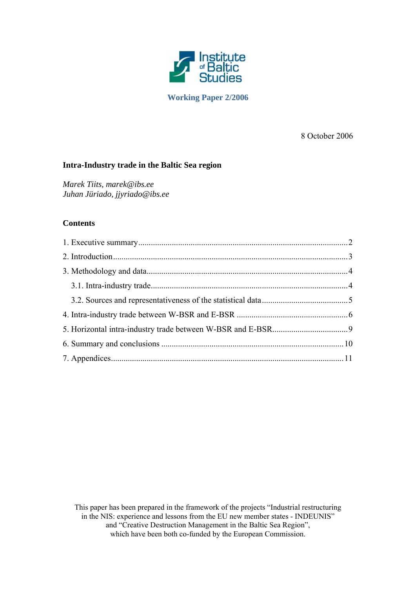

**Working Paper 2/2006** 

8 October 2006

# **Intra-Industry trade in the Baltic Sea region**

*Marek Tiits, marek@ibs.ee Juhan Jüriado, jjyriado@ibs.ee* 

## **Contents**

This paper has been prepared in the framework of the projects "Industrial restructuring in the NIS: experience and lessons from the EU new member states - INDEUNIS" and "Creative Destruction Management in the Baltic Sea Region", which have been both co-funded by the European Commission.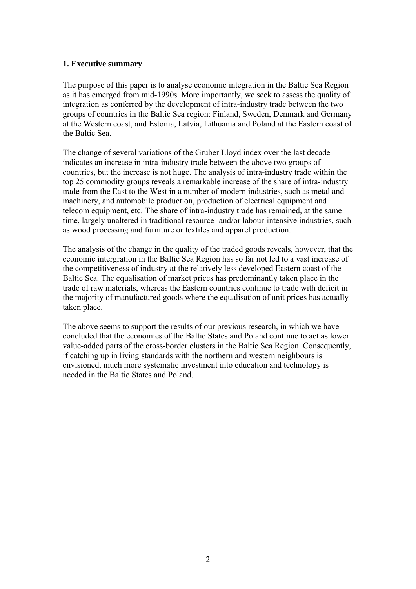# <span id="page-1-0"></span>**1. Executive summary**

The purpose of this paper is to analyse economic integration in the Baltic Sea Region as it has emerged from mid-1990s. More importantly, we seek to assess the quality of integration as conferred by the development of intra-industry trade between the two groups of countries in the Baltic Sea region: Finland, Sweden, Denmark and Germany at the Western coast, and Estonia, Latvia, Lithuania and Poland at the Eastern coast of the Baltic Sea.

The change of several variations of the Gruber Lloyd index over the last decade indicates an increase in intra-industry trade between the above two groups of countries, but the increase is not huge. The analysis of intra-industry trade within the top 25 commodity groups reveals a remarkable increase of the share of intra-industry trade from the East to the West in a number of modern industries, such as metal and machinery, and automobile production, production of electrical equipment and telecom equipment, etc. The share of intra-industry trade has remained, at the same time, largely unaltered in traditional resource- and/or labour-intensive industries, such as wood processing and furniture or textiles and apparel production.

The analysis of the change in the quality of the traded goods reveals, however, that the economic intergration in the Baltic Sea Region has so far not led to a vast increase of the competitiveness of industry at the relatively less developed Eastern coast of the Baltic Sea. The equalisation of market prices has predominantly taken place in the trade of raw materials, whereas the Eastern countries continue to trade with deficit in the majority of manufactured goods where the equalisation of unit prices has actually taken place.

The above seems to support the results of our previous research, in which we have concluded that the economies of the Baltic States and Poland continue to act as lower value-added parts of the cross-border clusters in the Baltic Sea Region. Consequently, if catching up in living standards with the northern and western neighbours is envisioned, much more systematic investment into education and technology is needed in the Baltic States and Poland.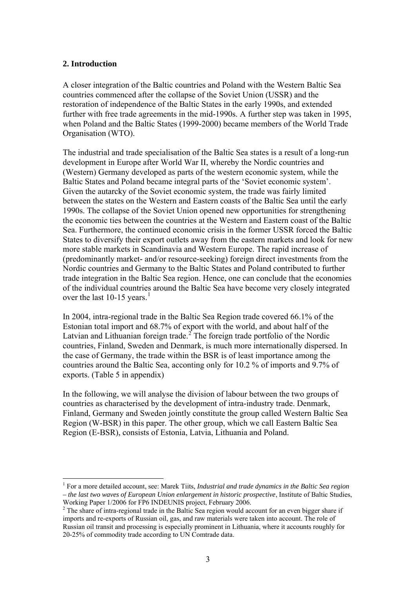# <span id="page-2-0"></span>**2. Introduction**

 $\overline{a}$ 

A closer integration of the Baltic countries and Poland with the Western Baltic Sea countries commenced after the collapse of the Soviet Union (USSR) and the restoration of independence of the Baltic States in the early 1990s, and extended further with free trade agreements in the mid-1990s. A further step was taken in 1995, when Poland and the Baltic States (1999-2000) became members of the World Trade Organisation (WTO).

The industrial and trade specialisation of the Baltic Sea states is a result of a long-run development in Europe after World War II, whereby the Nordic countries and (Western) Germany developed as parts of the western economic system, while the Baltic States and Poland became integral parts of the 'Soviet economic system'. Given the autarcky of the Soviet economic system, the trade was fairly limited between the states on the Western and Eastern coasts of the Baltic Sea until the early 1990s. The collapse of the Soviet Union opened new opportunities for strengthening the economic ties between the countries at the Western and Eastern coast of the Baltic Sea. Furthermore, the continued economic crisis in the former USSR forced the Baltic States to diversify their export outlets away from the eastern markets and look for new more stable markets in Scandinavia and Western Europe. The rapid increase of (predominantly market- and/or resource-seeking) foreign direct investments from the Nordic countries and Germany to the Baltic States and Poland contributed to further trade integration in the Baltic Sea region. Hence, one can conclude that the economies of the individual countries around the Baltic Sea have become very closely integrated over the last  $10-15$  $10-15$  years.<sup>1</sup>

In 2004, intra-regional trade in the Baltic Sea Region trade covered 66.1% of the Estonian total import and 68.7% of export with the world, and about half of the Latvian and Lithuanian foreign trade.<sup>[2](#page-2-0)</sup> The foreign trade portfolio of the Nordic countries, Finland, Sweden and Denmark, is much more internationally dispersed. In the case of Germany, the trade within the BSR is of least importance among the countries around the Baltic Sea, acconting only for 10.2 % of imports and 9.7% of exports. [\(Table 5](#page-10-0) in appendix)

In the following, we will analyse the division of labour between the two groups of countries as characterised by the development of intra-industry trade. Denmark, Finland, Germany and Sweden jointly constitute the group called Western Baltic Sea Region (W-BSR) in this paper. The other group, which we call Eastern Baltic Sea Region (E-BSR), consists of Estonia, Latvia, Lithuania and Poland.

<sup>&</sup>lt;sup>1</sup> For a more detailed account, see: Marek Tiits, *Industrial and trade dynamics in the Baltic Sea region – the last two waves of European Union enlargement in historic prospective*, Institute of Baltic Studies, Working Paper 1/2006 for FP6 INDEUNIS project, February 2006.

 $2^2$  The share of intra-regional trade in the Baltic Sea region would account for an even bigger share if imports and re-exports of Russian oil, gas, and raw materials were taken into account. The role of Russian oil transit and processing is especially prominent in Lithuania, where it accounts roughly for 20-25% of commodity trade according to UN Comtrade data.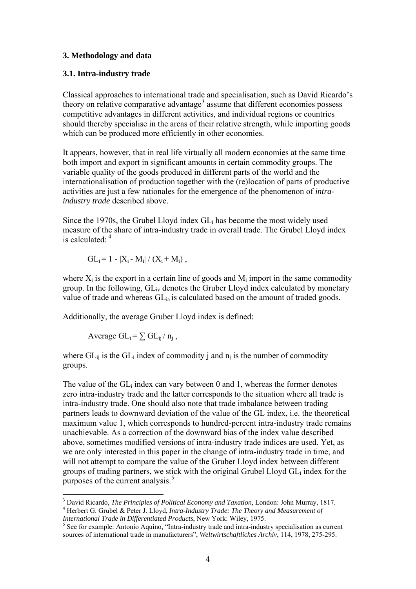# <span id="page-3-0"></span>**3. Methodology and data**

## **3.1. Intra-industry trade**

Classical approaches to international trade and specialisation, such as David Ricardo's theory on relative comparative advantage<sup>[3](#page-3-0)</sup> assume that different economies possess competitive advantages in different activities, and individual regions or countries should thereby specialise in the areas of their relative strength, while importing goods which can be produced more efficiently in other economies.

It appears, however, that in real life virtually all modern economies at the same time both import and export in significant amounts in certain commodity groups. The variable quality of the goods produced in different parts of the world and the internationalisation of production together with the (re)location of parts of productive activities are just a few rationales for the emergence of the phenomenon of *intraindustry trade* described above.

Since the 1970s, the Grubel Lloyd index GLi has become the most widely used measure of the share of intra-industry trade in overall trade. The Grubel Lloyd index is calculated:  $4^4$  $4^4$ 

$$
GL_i = 1 - |X_i - M_i| / (X_i + M_i) ,
$$

where  $X_i$  is the export in a certain line of goods and  $M_i$  import in the same commodity group. In the following,  $GL_{iv}$  denotes the Gruber Lloyd index calculated by monetary value of trade and whereas  $GL_{ia}$  is calculated based on the amount of traded goods.

Additionally, the average Gruber Lloyd index is defined:

Average  $GL_i = \sum GL_{ii}/n_i$ ,

 $\overline{a}$ 

where  $GL_{ii}$  is the  $GL_i$  index of commodity j and  $n_i$  is the number of commodity groups.

The value of the  $GL_i$  index can vary between 0 and 1, whereas the former denotes zero intra-industry trade and the latter corresponds to the situation where all trade is intra-industry trade. One should also note that trade imbalance between trading partners leads to downward deviation of the value of the GL index, i.e. the theoretical maximum value 1, which corresponds to hundred-percent intra-industry trade remains unachievable. As a correction of the downward bias of the index value described above, sometimes modified versions of intra-industry trade indices are used. Yet, as we are only interested in this paper in the change of intra-industry trade in time, and will not attempt to compare the value of the Gruber Lloyd index between different groups of trading partners, we stick with the original Grubel Lloyd GLi index for the purposes of the current analysis.<sup>[5](#page-3-0)</sup>

<sup>&</sup>lt;sup>3</sup> David Ricardo, *The Principles of Political Economy and Taxation*, London: John Murray, 1817. Herbert G. Grubel & Peter J. Lloyd, *Intra-Industry Trade: The Theory and Measurement of* 

*International Trade in Differentiated Products*, New York: Wiley, 1975.

 $<sup>5</sup>$  See for example: Antonio Aquino, "Intra-industry trade and intra-industry specialisation as current</sup> sources of international trade in manufacturers", *Weltwirtschaftliches Archiv*, 114, 1978, 275-295.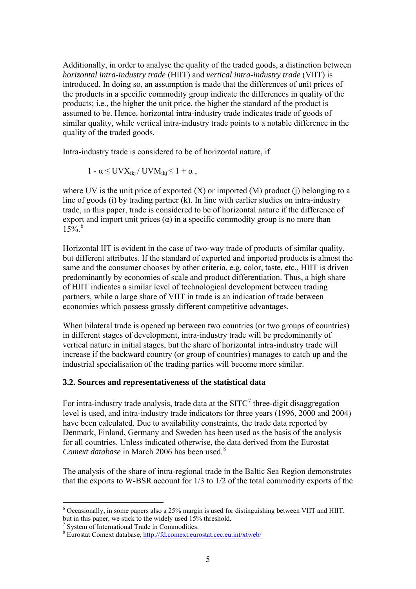<span id="page-4-0"></span>Additionally, in order to analyse the quality of the traded goods, a distinction between *horizontal intra-industry trade* (HIIT) and *vertical intra-industry trade* (VIIT) is introduced. In doing so, an assumption is made that the differences of unit prices of the products in a specific commodity group indicate the differences in quality of the products; i.e., the higher the unit price, the higher the standard of the product is assumed to be. Hence, horizontal intra-industry trade indicates trade of goods of similar quality, while vertical intra-industry trade points to a notable difference in the quality of the traded goods.

Intra-industry trade is considered to be of horizontal nature, if

$$
1 - \alpha \leq UVX_{ikj} / UVM_{ikj} \leq 1 + \alpha ,
$$

where UV is the unit price of exported  $(X)$  or imported  $(M)$  product  $(i)$  belonging to a line of goods (i) by trading partner (k). In line with earlier studies on intra-industry trade, in this paper, trade is considered to be of horizontal nature if the difference of export and import unit prices  $(\alpha)$  in a specific commodity group is no more than  $15\%$ <sup>[6](#page-4-0)</sup>

Horizontal IIT is evident in the case of two-way trade of products of similar quality, but different attributes. If the standard of exported and imported products is almost the same and the consumer chooses by other criteria, e.g. color, taste, etc., HIIT is driven predominantly by economies of scale and product differentiation. Thus, a high share of HIIT indicates a similar level of technological development between trading partners, while a large share of VIIT in trade is an indication of trade between economies which possess grossly different competitive advantages.

When bilateral trade is opened up between two countries (or two groups of countries) in different stages of development, intra-industry trade will be predominantly of vertical nature in initial stages, but the share of horizontal intra-industry trade will increase if the backward country (or group of countries) manages to catch up and the industrial specialisation of the trading parties will become more similar.

## **3.2. Sources and representativeness of the statistical data**

For intra-industry trade analysis, trade data at the SITC<sup>[7](#page-4-0)</sup> three-digit disaggregation level is used, and intra-industry trade indicators for three years (1996, 2000 and 2004) have been calculated. Due to availability constraints, the trade data reported by Denmark, Finland, Germany and Sweden has been used as the basis of the analysis for all countries. Unless indicated otherwise, the data derived from the Eurostat *Comext database* in March 2006 has been used.<sup>[8](#page-4-0)</sup>

The analysis of the share of intra-regional trade in the Baltic Sea Region demonstrates that the exports to W-BSR account for 1/3 to 1/2 of the total commodity exports of the

 $\overline{a}$ 

 $6$  Occasionally, in some papers also a 25% margin is used for distinguishing between VIIT and HIIT, but in this paper, we stick to the widely used 15% threshold.

<sup>7</sup> System of International Trade in Commodities.

<sup>&</sup>lt;sup>8</sup> Eurostat Comext database, http://fd.comext.eurostat.cec.eu.int/xtweb/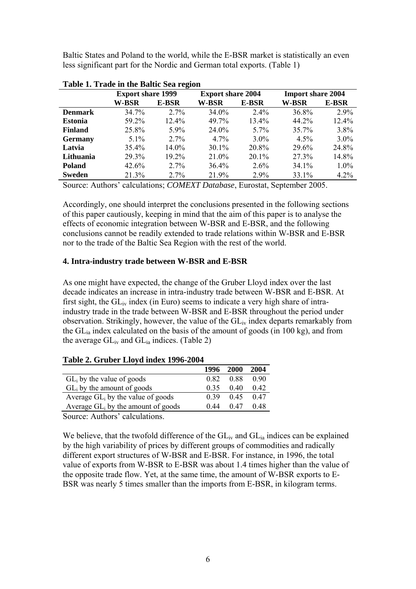<span id="page-5-0"></span>Baltic States and Poland to the world, while the E-BSR market is statistically an even less significant part for the Nordic and German total exports. ([Table 1](#page-5-0))

|                | <b>Export share 1999</b> |          | <b>Export share 2004</b> |          | <b>Import share 2004</b> |         |
|----------------|--------------------------|----------|--------------------------|----------|--------------------------|---------|
|                | W-BSR                    | E-BSR    | W-BSR                    | E-BSR    | W-BSR                    | E-BSR   |
| <b>Denmark</b> | 34.7%                    | $2.7\%$  | 34.0%                    | $2.4\%$  | 36.8%                    | $2.9\%$ |
| <b>Estonia</b> | 59.2%                    | $12.4\%$ | 49.7%                    | 13.4%    | 44.2%                    | 12.4%   |
| <b>Finland</b> | 25.8%                    | 5.9%     | 24.0%                    | $5.7\%$  | $35.7\%$                 | 3.8%    |
| <b>Germany</b> | $5.1\%$                  | 2.7%     | $4.7\%$                  | $3.0\%$  | $4.5\%$                  | $3.0\%$ |
| Latvia         | 35.4%                    | $14.0\%$ | 30.1%                    | 20.8%    | 29.6%                    | 24.8%   |
| Lithuania      | 29.3%                    | 19.2%    | 21.0%                    | $20.1\%$ | 27.3%                    | 14.8%   |
| <b>Poland</b>  | 42.6%                    | $2.7\%$  | 36.4%                    | $2.6\%$  | $34.1\%$                 | 1.0%    |
| <b>Sweden</b>  | 21.3%                    | $2.7\%$  | 21.9%                    | $2.9\%$  | 33.1%                    | 4.2%    |

**Table 1. Trade in the Baltic Sea region** 

Source: Authors' calculations; *COMEXT Database*, Eurostat, September 2005.

Accordingly, one should interpret the conclusions presented in the following sections of this paper cautiously, keeping in mind that the aim of this paper is to analyse the effects of economic integration between W-BSR and E-BSR, and the following conclusions cannot be readily extended to trade relations within W-BSR and E-BSR nor to the trade of the Baltic Sea Region with the rest of the world.

## **4. Intra-industry trade between W-BSR and E-BSR**

As one might have expected, the change of the Gruber Lloyd index over the last decade indicates an increase in intra-industry trade between W-BSR and E-BSR. At first sight, the  $GL_{iv}$  index (in Euro) seems to indicate a very high share of intraindustry trade in the trade between W-BSR and E-BSR throughout the period under observation. Strikingly, however, the value of the  $GL_{iv}$  index departs remarkably from the GLia index calculated on the basis of the amount of goods (in 100 kg), and from the average  $GL_{iv}$  and  $GL_{ia}$  indices. [\(Table 2](#page-5-0))

# **Table 2. Gruber Lloyd index 1996-2004**

|                                       | 1996 | 2000 | 2004 |
|---------------------------------------|------|------|------|
| $GL_i$ by the value of goods          | 0.82 | 0.88 | 0.90 |
| $GL_i$ by the amount of goods         | 0.35 | 0.40 | 0.42 |
| Average $GL_i$ by the value of goods  | 0.39 | 0.45 | 0.47 |
| Average $GL_i$ by the amount of goods | 0.44 | 0.47 | 0.48 |

Source: Authors' calculations.

We believe, that the twofold difference of the  $GL_{iv}$  and  $GL_{ia}$  indices can be explained by the high variability of prices by different groups of commodities and radically different export structures of W-BSR and E-BSR. For instance, in 1996, the total value of exports from W-BSR to E-BSR was about 1.4 times higher than the value of the opposite trade flow. Yet, at the same time, the amount of W-BSR exports to E-BSR was nearly 5 times smaller than the imports from E-BSR, in kilogram terms.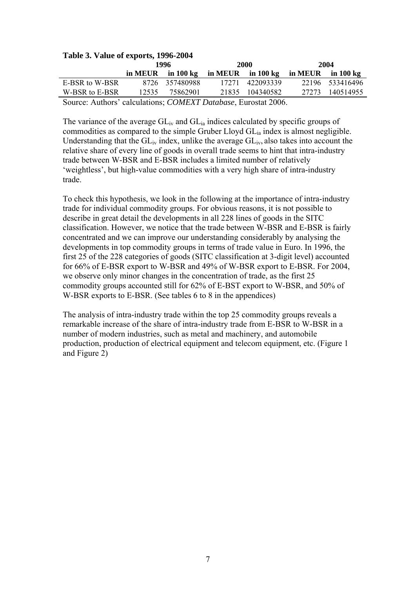|                                                                        | Lable 3. Value of exports, 1996-2004 |                                     |  |                 |                             |                 |  |  |  |  |  |  |  |  |
|------------------------------------------------------------------------|--------------------------------------|-------------------------------------|--|-----------------|-----------------------------|-----------------|--|--|--|--|--|--|--|--|
|                                                                        |                                      | 1996                                |  | 2000            | 2004                        |                 |  |  |  |  |  |  |  |  |
|                                                                        |                                      | in MEUR in 100 kg in MEUR in 100 kg |  |                 | in MEUR in $100 \text{ kg}$ |                 |  |  |  |  |  |  |  |  |
| E-BSR to W-BSR                                                         |                                      | 8726 357480988                      |  | 17271 422093339 |                             | 22196 533416496 |  |  |  |  |  |  |  |  |
| W-BSR to E-BSR                                                         | 12535                                | 75862901                            |  | 21835 104340582 | 27273                       | 140514955       |  |  |  |  |  |  |  |  |
| Source: Authors' calculations; <i>COMEXT Database</i> , Eurostat 2006. |                                      |                                     |  |                 |                             |                 |  |  |  |  |  |  |  |  |

# <span id="page-6-0"></span>**Table 3. Value of exports, 1996-2004**

The variance of the average  $GL_{iv}$  and  $GL_{i}$  indices calculated by specific groups of commodities as compared to the simple Gruber Lloyd GLia index is almost negligible. Understanding that the  $GL_{iv}$  index, unlike the average  $GL_{iv}$ , also takes into account the relative share of every line of goods in overall trade seems to hint that intra-industry trade between W-BSR and E-BSR includes a limited number of relatively 'weightless', but high-value commodities with a very high share of intra-industry trade.

To check this hypothesis, we look in the following at the importance of intra-industry trade for individual commodity groups. For obvious reasons, it is not possible to describe in great detail the developments in all 228 lines of goods in the SITC classification. However, we notice that the trade between W-BSR and E-BSR is fairly concentrated and we can improve our understanding considerably by analysing the developments in top commodity groups in terms of trade value in Euro. In 1996, the first 25 of the 228 categories of goods (SITC classification at 3-digit level) accounted for 66% of E-BSR export to W-BSR and 49% of W-BSR export to E-BSR. For 2004, we observe only minor changes in the concentration of trade, as the first 25 commodity groups accounted still for 62% of E-BST export to W-BSR, and 50% of W-BSR exports to E-BSR. (See tables 6 to 8 in the appendices)

The analysis of intra-industry trade within the top 25 commodity groups reveals a remarkable increase of the share of intra-industry trade from E-BSR to W-BSR in a number of modern industries, such as metal and machinery, and automobile production, production of electrical equipment and telecom equipment, etc. [\(Figure 1](#page-6-0)  and [Figure 2\)](#page-7-0)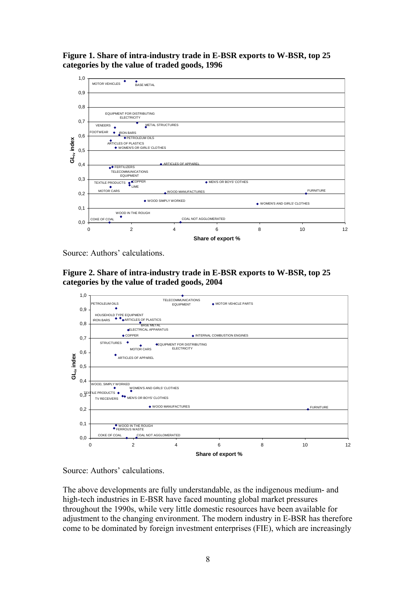<span id="page-7-0"></span>**Figure 1. Share of intra-industry trade in E-BSR exports to W-BSR, top 25 categories by the value of traded goods, 1996** 



Source: Authors' calculations.





Source: Authors' calculations.

The above developments are fully understandable, as the indigenous medium- and high-tech industries in E-BSR have faced mounting global market pressures throughout the 1990s, while very little domestic resources have been available for adjustment to the changing environment. The modern industry in E-BSR has therefore come to be dominated by foreign investment enterprises (FIE), which are increasingly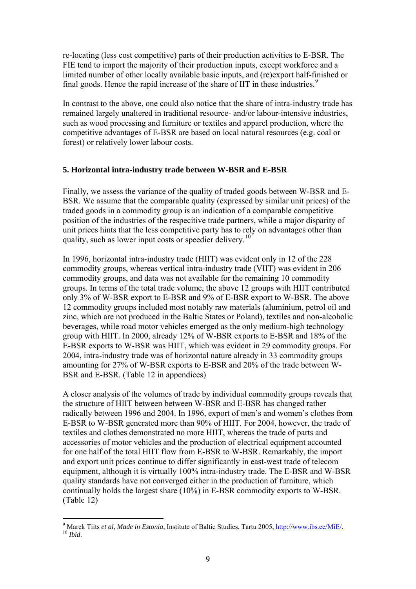<span id="page-8-0"></span>re-locating (less cost competitive) parts of their production activities to E-BSR. The FIE tend to import the majority of their production inputs, except workforce and a limited number of other locally available basic inputs, and (re)export half-finished or final goods. Hence the rapid increase of the share of IIT in these industries.<sup>[9](#page-8-0)</sup>

In contrast to the above, one could also notice that the share of intra-industry trade has remained largely unaltered in traditional resource- and/or labour-intensive industries, such as wood processing and furniture or textiles and apparel production, where the competitive advantages of E-BSR are based on local natural resources (e.g. coal or forest) or relatively lower labour costs.

## **5. Horizontal intra-industry trade between W-BSR and E-BSR**

Finally, we assess the variance of the quality of traded goods between W-BSR and E-BSR. We assume that the comparable quality (expressed by similar unit prices) of the traded goods in a commodity group is an indication of a comparable competitive position of the industries of the respecitive trade partners, while a major disparity of unit prices hints that the less competitive party has to rely on advantages other than quality, such as lower input costs or speedier delivery.<sup>[1](#page-8-0)0</sup>

In 1996, horizontal intra-industry trade (HIIT) was evident only in 12 of the 228 commodity groups, whereas vertical intra-industry trade (VIIT) was evident in 206 commodity groups, and data was not available for the remaining 10 commodity groups. In terms of the total trade volume, the above 12 groups with HIIT contributed only 3% of W-BSR export to E-BSR and 9% of E-BSR export to W-BSR. The above 12 commodity groups included most notably raw materials (aluminium, petrol oil and zinc, which are not produced in the Baltic States or Poland), textiles and non-alcoholic beverages, while road motor vehicles emerged as the only medium-high technology group with HIIT. In 2000, already 12% of W-BSR exports to E-BSR and 18% of the E-BSR exports to W-BSR was HIIT, which was evident in 29 commodity groups. For 2004, intra-industry trade was of horizontal nature already in 33 commodity groups amounting for 27% of W-BSR exports to E-BSR and 20% of the trade between W-BSR and E-BSR. ([Table 12](#page-21-0) in appendices)

A closer analysis of the volumes of trade by individual commodity groups reveals that the structure of HIIT between between W-BSR and E-BSR has changed rather radically between 1996 and 2004. In 1996, export of men's and women's clothes from E-BSR to W-BSR generated more than 90% of HIIT. For 2004, however, the trade of textiles and clothes demonstrated no more HIIT, whereas the trade of parts and accessories of motor vehicles and the production of electrical equipment accounted for one half of the total HIIT flow from E-BSR to W-BSR. Remarkably, the import and export unit prices continue to differ significantly in east-west trade of telecom equipment, although it is virtually 100% intra-industry trade. The E-BSR and W-BSR quality standards have not converged either in the production of furniture, which continually holds the largest share (10%) in E-BSR commodity exports to W-BSR. ([Table 12](#page-21-0))

 $\overline{a}$ 

<sup>&</sup>lt;sup>9</sup> Marek Tiits *et al, Made in Estonia*, Institute of Baltic Studies, Tartu 2005, *http://www.ibs.ee/MiE/*.<br><sup>10</sup> *Ibid.*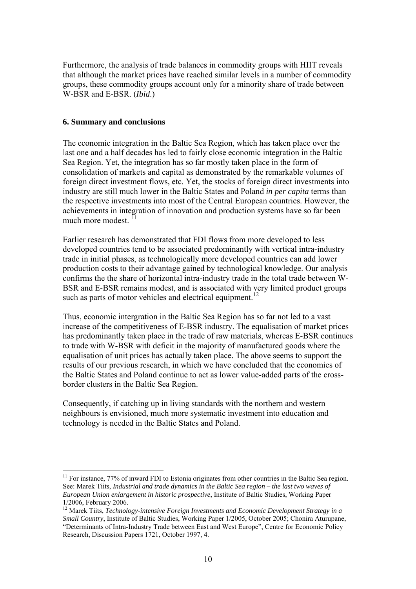<span id="page-9-0"></span>Furthermore, the analysis of trade balances in commodity groups with HIIT reveals that although the market prices have reached similar levels in a number of commodity groups, these commodity groups account only for a minority share of trade between W-BSR and E-BSR. (*Ibid*.)

#### **6. Summary and conclusions**

 $\overline{a}$ 

The economic integration in the Baltic Sea Region, which has taken place over the last one and a half decades has led to fairly close economic integration in the Baltic Sea Region. Yet, the integration has so far mostly taken place in the form of consolidation of markets and capital as demonstrated by the remarkable volumes of foreign direct investment flows, etc. Yet, the stocks of foreign direct investments into industry are still much lower in the Baltic States and Poland *in per capita* terms than the respective investments into most of the Central European countries. However, the achievements in integration of innovation and production systems have so far been much more modest.<sup>II</sup>

Earlier research has demonstrated that FDI flows from more developed to less developed countries tend to be associated predominantly with vertical intra-industry trade in initial phases, as technologically more developed countries can add lower production costs to their advantage gained by technological knowledge. Our analysis confirms the the share of horizontal intra-industry trade in the total trade between W-BSR and E-BSR remains modest, and is associated with very limited product groups such as parts of motor vehicles and electrical equipment.<sup>[12](#page-9-0)</sup>

Thus, economic intergration in the Baltic Sea Region has so far not led to a vast increase of the competitiveness of E-BSR industry. The equalisation of market prices has predominantly taken place in the trade of raw materials, whereas E-BSR continues to trade with W-BSR with deficit in the majority of manufactured goods where the equalisation of unit prices has actually taken place. The above seems to support the results of our previous research, in which we have concluded that the economies of the Baltic States and Poland continue to act as lower value-added parts of the crossborder clusters in the Baltic Sea Region.

Consequently, if catching up in living standards with the northern and western neighbours is envisioned, much more systematic investment into education and technology is needed in the Baltic States and Poland.

<sup>&</sup>lt;sup>11</sup> For instance, 77% of inward FDI to Estonia originates from other countries in the Baltic Sea region. See: Marek Tiits, *Industrial and trade dynamics in the Baltic Sea region – the last two waves of European Union enlargement in historic prospective*, Institute of Baltic Studies, Working Paper 1/2006, February 2006.

<sup>&</sup>lt;sup>12</sup> Marek Tiits, *Technology-intensive Foreign Investments and Economic Development Strategy in a Small Country*, Institute of Baltic Studies, Working Paper 1/2005, October 2005; Chonira Aturupane, "Determinants of Intra-Industry Trade between East and West Europe", Centre for Economic Policy Research, Discussion Papers 1721, October 1997, 4.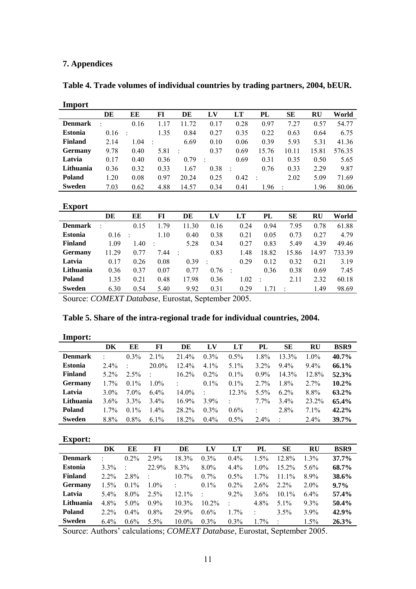# <span id="page-10-0"></span>**7. Appendices**

| Import         |         |                      |                      |       |         |               |        |       |       |        |
|----------------|---------|----------------------|----------------------|-------|---------|---------------|--------|-------|-------|--------|
|                | DE      | EE                   | FI                   | DE    | LV      | LT            | PL     | SЕ    | RU    | World  |
| <b>Denmark</b> | $\cdot$ | 0.16                 | 1.17                 | 11.72 | 0.17    | 0.28          | 0.97   | 7.27  | 0.57  | 54.77  |
| Estonia        | 0.16    | $\ddot{\phantom{a}}$ | 1.35                 | 0.84  | 0.27    | 0.35          | 0.22   | 0.63  | 0.64  | 6.75   |
| <b>Finland</b> | 2.14    | 1.04                 | $\ddot{\phantom{a}}$ | 6.69  | 0.10    | 0.06          | 0.39   | 5.93  | 5.31  | 41.36  |
| <b>Germany</b> | 9.78    | 0.40                 | 5.81                 | ÷     | 0.37    | 0.69          | 15.76  | 10.11 | 15.81 | 576.35 |
| Latvia         | 0.17    | 0.40                 | 0.36                 | 0.79  | $\cdot$ | 0.69          | 0.31   | 0.35  | 0.50  | 5.65   |
| Lithuania      | 0.36    | 0.32                 | 0.33                 | 1.67  | 0.38    | $\mathcal{A}$ | 0.76   | 0.33  | 2.29  | 9.87   |
| <b>Poland</b>  | 1.20    | 0.08                 | 0.97                 | 20.24 | 0.25    | 0.42          | $\sim$ | 2.02  | 5.09  | 71.69  |
| Sweden         | 7.03    | 0.62                 | 4.88                 | 14.57 | 0.34    | 0.41          | 1.96   |       | 1.96  | 80.06  |

**Table 4. Trade volumes of individual countries by trading partners, 2004, bEUR.** 

#### **Export**

|                | DE        | EE      | FI   | DE    | LV   | LT   | PL    | SЕ    | RU    | World  |
|----------------|-----------|---------|------|-------|------|------|-------|-------|-------|--------|
| <b>Denmark</b> | $\bullet$ | 0.15    | 1.79 | 11.30 | 0.16 | 0.24 | 0.94  | 7.95  | 0.78  | 61.88  |
| <b>Estonia</b> | 0.16      | $\cdot$ | 1.10 | 0.40  | 0.38 | 0.21 | 0.05  | 0.73  | 0.27  | 4.79   |
| <b>Finland</b> | 1.09      | 1.40    |      | 5.28  | 0.34 | 0.27 | 0.83  | 5.49  | 4.39  | 49.46  |
| <b>Germany</b> | 11.29     | 0.77    | 7.44 |       | 0.83 | 1.48 | 18.82 | 15.86 | 14.97 | 733.39 |
| Latvia         | 0.17      | 0.26    | 0.08 | 0.39  |      | 0.29 | 0.12  | 0.32  | 0.21  | 3.19   |
| Lithuania      | 0.36      | 0.37    | 0.07 | 0.77  | 0.76 |      | 0.36  | 0.38  | 0.69  | 7.45   |
| <b>Poland</b>  | 1.35      | 0.21    | 0.48 | 17.98 | 0.36 | 1.02 |       | 2.11  | 2.32  | 60.18  |
| <b>Sweden</b>  | 6.30      | 0.54    | 5.40 | 9.92  | 0.31 | 0.29 |       |       | 1.49  | 98.69  |

Source: *COMEXT Database*, Eurostat, September 2005.

# **Table 5. Share of the intra-regional trade for individual countries, 2004.**

| Import:        |         |         |         |          |                |                      |         |                     |           |             |
|----------------|---------|---------|---------|----------|----------------|----------------------|---------|---------------------|-----------|-------------|
|                | DK      | EE      | FI      | DE       | L <sub>V</sub> | LT                   | PL      | SЕ                  | <b>RU</b> | <b>BSR9</b> |
| <b>Denmark</b> | ÷       | $0.3\%$ | $2.1\%$ | 21.4%    | $0.3\%$        | $0.5\%$              | $1.8\%$ | $13.3\%$            | $1.0\%$   | 40.7%       |
| <b>Estonia</b> | $2.4\%$ |         | 20.0%   | $12.4\%$ | $4.1\%$        | $5.1\%$              | $3.2\%$ | $9.4\%$             | $9.4\%$   | 66.1%       |
| <b>Finland</b> | $5.2\%$ | $2.5\%$ |         | $16.2\%$ | $0.2\%$        | $0.1\%$              | $0.9\%$ | 14.3%               | 12.8%     | 52.3%       |
| <b>Germany</b> | $1.7\%$ | $0.1\%$ | $1.0\%$ |          | $0.1\%$        | $0.1\%$              | $2.7\%$ | 1.8%                | $2.7\%$   | 10.2%       |
| Latvia         | $3.0\%$ | $7.0\%$ | $6.4\%$ | $14.0\%$ | $\cdot$        | 12.3%                | 5.5%    | $6.2\%$             | 8.8%      | 63.2%       |
| Lithuania      | 3.6%    | $3.3\%$ | $3.4\%$ | 16.9%    | $3.9\%$        | $\ddot{\phantom{a}}$ | $7.7\%$ | $3.4\%$             | 23.2%     | 65.4%       |
| Poland         | $1.7\%$ | $0.1\%$ | $1.4\%$ | 28.2%    | $0.3\%$        | $0.6\%$              |         | 2.8%                | $7.1\%$   | 42.2%       |
| <b>Sweden</b>  | 8.8%    | $0.8\%$ | $6.1\%$ | 18.2%    | $0.4\%$        | $0.5\%$              | $2.4\%$ | $\hat{\phantom{a}}$ | $2.4\%$   | 39.7%       |

#### **Export:**

|                | DK        | EE      | FI      | DE       | LV       | LT      | PL      | SЕ       | <b>RU</b> | <b>BSR9</b> |
|----------------|-----------|---------|---------|----------|----------|---------|---------|----------|-----------|-------------|
| <b>Denmark</b> | $\bullet$ | $0.2\%$ | 2.9%    | 18.3%    | $0.3\%$  | $0.4\%$ | 1.5%    | 12.8%    | $1.3\%$   | 37.7%       |
| <b>Estonia</b> | $3.3\%$   |         | 22.9%   | $8.3\%$  | $8.0\%$  | $4.4\%$ | $1.0\%$ | $15.2\%$ | $5.6\%$   | 68.7%       |
| <b>Finland</b> | $2.2\%$   | $2.8\%$ |         | $10.7\%$ | $0.7\%$  | $0.5\%$ | $1.7\%$ | $111\%$  | $8.9\%$   | 38.6%       |
| <b>Germany</b> | $1.5\%$   | $0.1\%$ | $1.0\%$ | ۰        | $0.1\%$  | $0.2\%$ | $2.6\%$ | $2.2\%$  | $2.0\%$   | $9.7\%$     |
| Latvia         | $5.4\%$   | $8.0\%$ | $2.5\%$ | $12.1\%$ | $\cdot$  | $9.2\%$ | $3.6\%$ | $10.1\%$ | $6.4\%$   | 57.4%       |
| Lithuania      | $4.8\%$   | $5.0\%$ | $0.9\%$ | $10.3\%$ | $10.2\%$ | $\cdot$ | 4.8%    | $5.1\%$  | $9.3\%$   | 50.4%       |
| <b>Poland</b>  | $2.2\%$   | $0.4\%$ | $0.8\%$ | 29.9%    | $0.6\%$  | $1.7\%$ | ÷       | 3.5%     | $3.9\%$   | 42.9%       |
| <b>Sweden</b>  | $6.4\%$   | $0.6\%$ | 5.5%    | $10.0\%$ | $0.3\%$  | $0.3\%$ | $1.7\%$ |          | $1.5\%$   | 26.3%       |

Source: Authors' calculations; *COMEXT Database*, Eurostat, September 2005.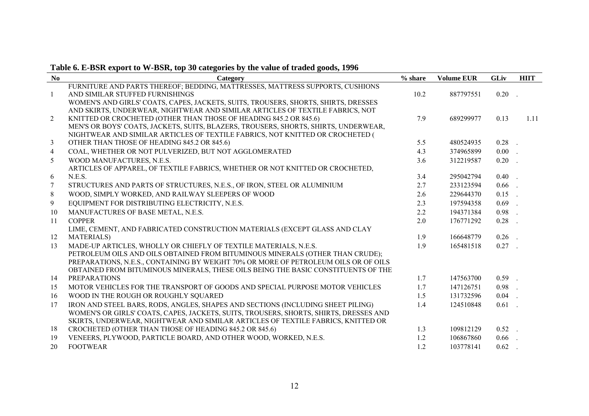# **Table 6. E-BSR export to W-BSR, top 30 categories by the value of traded goods, 1996**

| No            | There are not expose to $\alpha$ bosy top by categories by the value of tradeur goods, 1996<br>Category | $%$ share | <b>Volume EUR</b> | <b>GLiv</b> | <b>HIIT</b> |
|---------------|---------------------------------------------------------------------------------------------------------|-----------|-------------------|-------------|-------------|
|               | FURNITURE AND PARTS THEREOF; BEDDING, MATTRESSES, MATTRESS SUPPORTS, CUSHIONS                           |           |                   |             |             |
| $\mathbf{1}$  | AND SIMILAR STUFFED FURNISHINGS                                                                         | 10.2      | 887797551         | $0.20$ .    |             |
|               | WOMEN'S AND GIRLS' COATS, CAPES, JACKETS, SUITS, TROUSERS, SHORTS, SHIRTS, DRESSES                      |           |                   |             |             |
|               | AND SKIRTS, UNDERWEAR, NIGHTWEAR AND SIMILAR ARTICLES OF TEXTILE FABRICS, NOT                           |           |                   |             |             |
| 2             | KNITTED OR CROCHETED (OTHER THAN THOSE OF HEADING 845.2 OR 845.6)                                       | 7.9       | 689299977         | 0.13        | 1.11        |
|               | MEN'S OR BOYS' COATS, JACKETS, SUITS, BLAZERS, TROUSERS, SHORTS, SHIRTS, UNDERWEAR,                     |           |                   |             |             |
|               | NIGHTWEAR AND SIMILAR ARTICLES OF TEXTILE FABRICS, NOT KNITTED OR CROCHETED (                           |           |                   |             |             |
| 3             | OTHER THAN THOSE OF HEADING 845.2 OR 845.6)                                                             | 5.5       | 480524935         | $0.28$ .    |             |
| 4             | COAL, WHETHER OR NOT PULVERIZED, BUT NOT AGGLOMERATED                                                   | 4.3       | 374965899         | $0.00$ .    |             |
| 5             | WOOD MANUFACTURES, N.E.S.                                                                               | 3.6       | 312219587         | $0.20$ .    |             |
|               | ARTICLES OF APPAREL, OF TEXTILE FABRICS, WHETHER OR NOT KNITTED OR CROCHETED,                           |           |                   |             |             |
| 6             | N.E.S.                                                                                                  | 3.4       | 295042794         | $0.40$ .    |             |
| 7             | STRUCTURES AND PARTS OF STRUCTURES, N.E.S., OF IRON, STEEL OR ALUMINIUM                                 | 2.7       | 233123594         | $0.66$ .    |             |
| 8             | WOOD, SIMPLY WORKED, AND RAILWAY SLEEPERS OF WOOD                                                       | 2.6       | 229644370         | $0.15$ .    |             |
| 9             | EQUIPMENT FOR DISTRIBUTING ELECTRICITY, N.E.S.                                                          | 2.3       | 197594358         | $0.69$ .    |             |
| 10            | MANUFACTURES OF BASE METAL, N.E.S.                                                                      | 2.2       | 194371384         | $0.98$ .    |             |
| <sup>11</sup> | <b>COPPER</b>                                                                                           | 2.0       | 176771292         | $0.28$ .    |             |
|               | LIME, CEMENT, AND FABRICATED CONSTRUCTION MATERIALS (EXCEPT GLASS AND CLAY                              |           |                   |             |             |
| 12            | <b>MATERIALS</b> )                                                                                      | 1.9       | 166648779         | $0.26$ .    |             |
| 13            | MADE-UP ARTICLES, WHOLLY OR CHIEFLY OF TEXTILE MATERIALS, N.E.S.                                        | 1.9       | 165481518         | $0.27$ .    |             |
|               | PETROLEUM OILS AND OILS OBTAINED FROM BITUMINOUS MINERALS (OTHER THAN CRUDE);                           |           |                   |             |             |
|               | PREPARATIONS, N.E.S., CONTAINING BY WEIGHT 70% OR MORE OF PETROLEUM OILS OR OF OILS                     |           |                   |             |             |
|               | OBTAINED FROM BITUMINOUS MINERALS, THESE OILS BEING THE BASIC CONSTITUENTS OF THE                       |           |                   |             |             |
| 14            | <b>PREPARATIONS</b>                                                                                     | 1.7       | 147563700         | $0.59$ .    |             |
| 15            | MOTOR VEHICLES FOR THE TRANSPORT OF GOODS AND SPECIAL PURPOSE MOTOR VEHICLES                            | 1.7       | 147126751         | $0.98$ .    |             |
| 16            | WOOD IN THE ROUGH OR ROUGHLY SQUARED                                                                    | 1.5       | 131732596         | $0.04$ .    |             |
| 17            | IRON AND STEEL BARS, RODS, ANGLES, SHAPES AND SECTIONS (INCLUDING SHEET PILING)                         | 1.4       | 124510848         | $0.61$ .    |             |
|               | WOMEN'S OR GIRLS' COATS, CAPES, JACKETS, SUITS, TROUSERS, SHORTS, SHIRTS, DRESSES AND                   |           |                   |             |             |
|               | SKIRTS, UNDERWEAR, NIGHTWEAR AND SIMILAR ARTICLES OF TEXTILE FABRICS, KNITTED OR                        |           |                   |             |             |
| 18            | CROCHETED (OTHER THAN THOSE OF HEADING 845.2 OR 845.6)                                                  | 1.3       | 109812129         | $0.52$ .    |             |
| 19            | VENEERS, PLYWOOD, PARTICLE BOARD, AND OTHER WOOD, WORKED, N.E.S.                                        | 1.2       | 106867860         | $0.66$ .    |             |
| 20            | <b>FOOTWEAR</b>                                                                                         | 1.2       | 103778141         | 0.62        |             |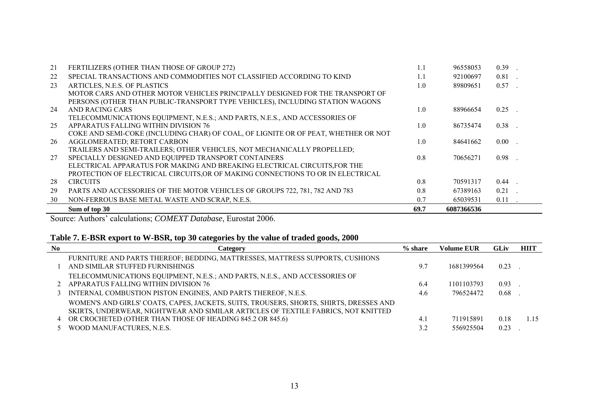| 21 | FERTILIZERS (OTHER THAN THOSE OF GROUP 272)                                        |      | 96558053   | 0.39     |
|----|------------------------------------------------------------------------------------|------|------------|----------|
| 22 | SPECIAL TRANSACTIONS AND COMMODITIES NOT CLASSIFIED ACCORDING TO KIND              | 1.1  | 92100697   | 0.81     |
| 23 | ARTICLES, N.E.S. OF PLASTICS                                                       | 1.0  | 89809651   | 0.57     |
|    | MOTOR CARS AND OTHER MOTOR VEHICLES PRINCIPALLY DESIGNED FOR THE TRANSPORT OF      |      |            |          |
|    | PERSONS (OTHER THAN PUBLIC-TRANSPORT TYPE VEHICLES), INCLUDING STATION WAGONS      |      |            |          |
| 24 | AND RACING CARS                                                                    | 1.0  | 88966654   | 0.25     |
|    | TELECOMMUNICATIONS EQUIPMENT, N.E.S.; AND PARTS, N.E.S., AND ACCESSORIES OF        |      |            |          |
| 25 | APPARATUS FALLING WITHIN DIVISION 76                                               | 1.0  | 86735474   | 0.38     |
|    | COKE AND SEMI-COKE (INCLUDING CHAR) OF COAL, OF LIGNITE OR OF PEAT, WHETHER OR NOT |      |            |          |
| 26 | AGGLOMERATED; RETORT CARBON                                                        | 1.0  | 84641662   | $0.00\,$ |
|    | TRAILERS AND SEMI-TRAILERS; OTHER VEHICLES, NOT MECHANICALLY PROPELLED;            |      |            |          |
| 27 | SPECIALLY DESIGNED AND EQUIPPED TRANSPORT CONTAINERS                               | 0.8  | 70656271   | 0.98     |
|    | ELECTRICAL APPARATUS FOR MAKING AND BREAKING ELECTRICAL CIRCUITS, FOR THE          |      |            |          |
|    | PROTECTION OF ELECTRICAL CIRCUITS OR OF MAKING CONNECTIONS TO OR IN ELECTRICAL     |      |            |          |
| 28 | <b>CIRCUITS</b>                                                                    | 0.8  | 70591317   | 0.44     |
| 29 | PARTS AND ACCESSORIES OF THE MOTOR VEHICLES OF GROUPS 722, 781, 782 AND 783        | 0.8  | 67389163   | 0.21     |
| 30 | NON-FERROUS BASE METAL WASTE AND SCRAP, N.E.S.                                     | 0.7  | 65039531   | 0.11     |
|    | Sum of top 30                                                                      | 69.7 | 6087366536 |          |

# **Table 7. E-BSR export to W-BSR, top 30 categories by the value of traded goods, 2000**

| N <sub>0</sub> | Category                                                                                                         | $%$ share | Volume EUR- | <b>GLiv</b> | <b>HIIT</b> |
|----------------|------------------------------------------------------------------------------------------------------------------|-----------|-------------|-------------|-------------|
|                | FURNITURE AND PARTS THEREOF; BEDDING, MATTRESSES, MATTRESS SUPPORTS, CUSHIONS<br>AND SIMILAR STUFFED FURNISHINGS | 9.1       | 1681399564  | 0.23        |             |
|                | TELECOMMUNICATIONS EQUIPMENT, N.E.S.; AND PARTS, N.E.S., AND ACCESSORIES OF                                      |           |             |             |             |
|                | 2 APPARATUS FALLING WITHIN DIVISION 76                                                                           | 6.4       | 1101103793  | 0.93        |             |
|                | 3 INTERNAL COMBUSTION PISTON ENGINES, AND PARTS THEREOF, N.E.S.                                                  | 4.6       | 796524472   | 0.68        |             |
|                | WOMEN'S AND GIRLS' COATS, CAPES, JACKETS, SUITS, TROUSERS, SHORTS, SHIRTS, DRESSES AND                           |           |             |             |             |
|                | SKIRTS, UNDERWEAR, NIGHTWEAR AND SIMILAR ARTICLES OF TEXTILE FABRICS, NOT KNITTED                                |           |             |             |             |
|                | OR CROCHETED (OTHER THAN THOSE OF HEADING 845.2 OR 845.6)                                                        | 4.        | 711915891   | 0.18        | 1.15        |
|                | WOOD MANUFACTURES, N.E.S.                                                                                        | 32        | 556925504   | 0.23        |             |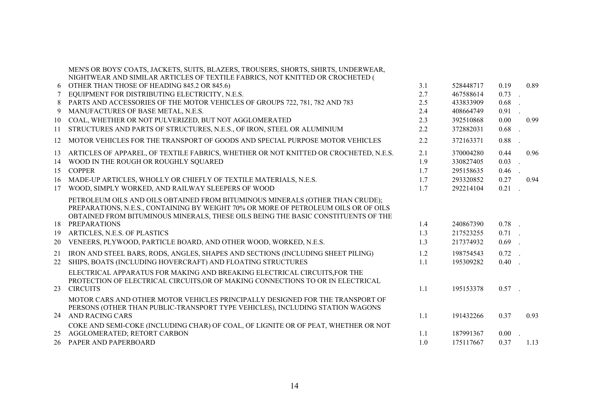|    | MEN'S OR BOYS' COATS, JACKETS, SUITS, BLAZERS, TROUSERS, SHORTS, SHIRTS, UNDERWEAR,<br>NIGHTWEAR AND SIMILAR ARTICLES OF TEXTILE FABRICS, NOT KNITTED OR CROCHETED ( |     |           |          |      |
|----|----------------------------------------------------------------------------------------------------------------------------------------------------------------------|-----|-----------|----------|------|
| 6  | OTHER THAN THOSE OF HEADING 845.2 OR 845.6)                                                                                                                          | 3.1 | 528448717 | 0.19     | 0.89 |
|    | EQUIPMENT FOR DISTRIBUTING ELECTRICITY, N.E.S.                                                                                                                       | 2.7 | 467588614 | 0.73     |      |
| 8  | PARTS AND ACCESSORIES OF THE MOTOR VEHICLES OF GROUPS 722, 781, 782 AND 783                                                                                          | 2.5 | 433833909 | 0.68     |      |
| 9  | MANUFACTURES OF BASE METAL, N.E.S.                                                                                                                                   | 2.4 | 408664749 | 0.91     |      |
| 10 | COAL, WHETHER OR NOT PULVERIZED, BUT NOT AGGLOMERATED                                                                                                                | 2.3 | 392510868 | 0.00     | 0.99 |
| 11 | STRUCTURES AND PARTS OF STRUCTURES, N.E.S., OF IRON, STEEL OR ALUMINIUM                                                                                              | 2.2 | 372882031 | 0.68     |      |
| 12 | MOTOR VEHICLES FOR THE TRANSPORT OF GOODS AND SPECIAL PURPOSE MOTOR VEHICLES                                                                                         | 2.2 | 372163371 | 0.88     |      |
| 13 | ARTICLES OF APPAREL, OF TEXTILE FABRICS, WHETHER OR NOT KNITTED OR CROCHETED, N.E.S.                                                                                 | 2.1 | 370004280 | 0.44     | 0.96 |
| 14 | WOOD IN THE ROUGH OR ROUGHLY SQUARED                                                                                                                                 | 1.9 | 330827405 | 0.03     |      |
| 15 | <b>COPPER</b>                                                                                                                                                        | 1.7 | 295158635 | 0.46     |      |
| 16 | MADE-UP ARTICLES, WHOLLY OR CHIEFLY OF TEXTILE MATERIALS, N.E.S.                                                                                                     | 1.7 | 293320852 | 0.27     | 0.94 |
| 17 | WOOD, SIMPLY WORKED, AND RAILWAY SLEEPERS OF WOOD                                                                                                                    | 1.7 | 292214104 | 0.21     |      |
|    | PETROLEUM OILS AND OILS OBTAINED FROM BITUMINOUS MINERALS (OTHER THAN CRUDE);<br>PREPARATIONS, N.E.S., CONTAINING BY WEIGHT 70% OR MORE OF PETROLEUM OILS OR OF OILS |     |           |          |      |
|    | OBTAINED FROM BITUMINOUS MINERALS, THESE OILS BEING THE BASIC CONSTITUENTS OF THE                                                                                    |     |           |          |      |
| 18 | <b>PREPARATIONS</b>                                                                                                                                                  | 1.4 | 240867390 | $0.78$ . |      |
| 19 | ARTICLES, N.E.S. OF PLASTICS                                                                                                                                         | 1.3 | 217523255 | $0.71$ . |      |
| 20 | VENEERS, PLYWOOD, PARTICLE BOARD, AND OTHER WOOD, WORKED, N.E.S.                                                                                                     | 1.3 | 217374932 | $0.69$ . |      |
| 21 | IRON AND STEEL BARS, RODS, ANGLES, SHAPES AND SECTIONS (INCLUDING SHEET PILING)                                                                                      | 1.2 | 198754543 | $0.72$ . |      |
| 22 | SHIPS, BOATS (INCLUDING HOVERCRAFT) AND FLOATING STRUCTURES                                                                                                          | 1.1 | 195309282 | $0.40$ . |      |
|    | ELECTRICAL APPARATUS FOR MAKING AND BREAKING ELECTRICAL CIRCUITS, FOR THE                                                                                            |     |           |          |      |
|    | PROTECTION OF ELECTRICAL CIRCUITS, OR OF MAKING CONNECTIONS TO OR IN ELECTRICAL                                                                                      |     |           |          |      |
| 23 | <b>CIRCUITS</b>                                                                                                                                                      | 1.1 | 195153378 | $0.57$ . |      |
|    | MOTOR CARS AND OTHER MOTOR VEHICLES PRINCIPALLY DESIGNED FOR THE TRANSPORT OF                                                                                        |     |           |          |      |
|    | PERSONS (OTHER THAN PUBLIC-TRANSPORT TYPE VEHICLES), INCLUDING STATION WAGONS                                                                                        |     |           |          |      |
| 24 | <b>AND RACING CARS</b>                                                                                                                                               | 1.1 | 191432266 | 0.37     | 0.93 |
|    | COKE AND SEMI-COKE (INCLUDING CHAR) OF COAL, OF LIGNITE OR OF PEAT, WHETHER OR NOT                                                                                   |     |           |          |      |
| 25 | AGGLOMERATED; RETORT CARBON                                                                                                                                          | 1.1 | 187991367 | 0.00     |      |
|    | 26 PAPER AND PAPERBOARD                                                                                                                                              | 1.0 | 175117667 | 0.37     | 1.13 |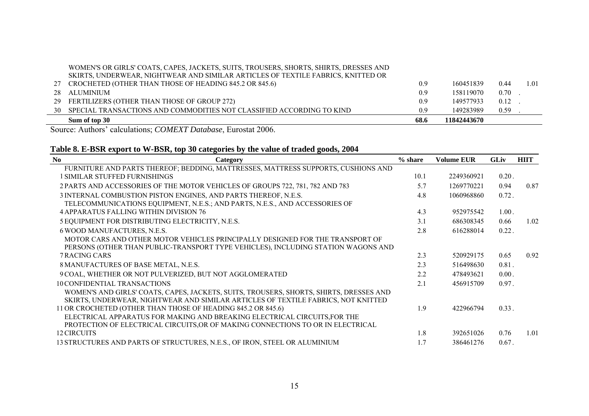#### WOMEN'S OR GIRLS' COATS, CAPES, JACKETS, SUITS, TROUSERS, SHORTS, SHIRTS, DRESSES AND SKIRTS, UNDERWEAR, NIGHTWEAR AND SIMILAR ARTICLES OF TEXTILE FABRICS, KNITTED OR

|    | Sum of top 30                                                         | 68.6 | 11842443670 |      |      |
|----|-----------------------------------------------------------------------|------|-------------|------|------|
| 30 | SPECIAL TRANSACTIONS AND COMMODITIES NOT CLASSIFIED ACCORDING TO KIND | 0.9  | 149283989   | 0.59 |      |
| 29 | FERTILIZERS (OTHER THAN THOSE OF GROUP 272)                           | 0.9  | 149577933   | 0.12 |      |
|    | 28 ALUMINIUM                                                          | 0.9  | 158119070   | 0.70 |      |
|    | CROCHETED (OTHER THAN THOSE OF HEADING 845.2 OR 845.6)                | 0.9  | 160451839   | 0.44 | 1.01 |
|    |                                                                       |      |             |      |      |

Source: Authors' calculations; *COMEXT Database*, Eurostat 2006.

# **Table 8. E-BSR export to W-BSR, top 30 categories by the value of traded goods, 2004**

| N <sub>0</sub><br>Category                                                             | $%$ share | <b>Volume EUR</b> | <b>GLiv</b> | <b>HIIT</b> |
|----------------------------------------------------------------------------------------|-----------|-------------------|-------------|-------------|
| FURNITURE AND PARTS THEREOF; BEDDING, MATTRESSES, MATTRESS SUPPORTS, CUSHIONS AND      |           |                   |             |             |
| 1 SIMILAR STUFFED FURNISHINGS                                                          | 10.1      | 2249360921        | $0.20$ .    |             |
| 2 PARTS AND ACCESSORIES OF THE MOTOR VEHICLES OF GROUPS 722, 781, 782 AND 783          | 5.7       | 1269770221        | 0.94        | 0.87        |
| 3 INTERNAL COMBUSTION PISTON ENGINES, AND PARTS THEREOF, N.E.S.                        | 4.8       | 1060968860        | $0.72$ .    |             |
| TELECOMMUNICATIONS EQUIPMENT, N.E.S.; AND PARTS, N.E.S., AND ACCESSORIES OF            |           |                   |             |             |
| <b>4 APPARATUS FALLING WITHIN DIVISION 76</b>                                          | 4.3       | 952975542         | 1.00.       |             |
| 5 EQUIPMENT FOR DISTRIBUTING ELECTRICITY, N.E.S.                                       | 3.1       | 686308345         | 0.66        | 1.02        |
| 6 WOOD MANUFACTURES, N.E.S.                                                            | 2.8       | 616288014         | $0.22$ .    |             |
| MOTOR CARS AND OTHER MOTOR VEHICLES PRINCIPALLY DESIGNED FOR THE TRANSPORT OF          |           |                   |             |             |
| PERSONS (OTHER THAN PUBLIC-TRANSPORT TYPE VEHICLES), INCLUDING STATION WAGONS AND      |           |                   |             |             |
| <b>7 RACING CARS</b>                                                                   | 2.3       | 520929175         | 0.65        | 0.92        |
| 8 MANUFACTURES OF BASE METAL, N.E.S.                                                   | 2.3       | 516498630         | $0.81$ .    |             |
| 9 COAL, WHETHER OR NOT PULVERIZED, BUT NOT AGGLOMERATED                                | 2.2       | 478493621         | 0.00.       |             |
| <b>10 CONFIDENTIAL TRANSACTIONS</b>                                                    | 2.1       | 456915709         | $0.97$ .    |             |
| WOMEN'S AND GIRLS' COATS, CAPES, JACKETS, SUITS, TROUSERS, SHORTS, SHIRTS, DRESSES AND |           |                   |             |             |
| SKIRTS, UNDERWEAR, NIGHTWEAR AND SIMILAR ARTICLES OF TEXTILE FABRICS, NOT KNITTED      |           |                   |             |             |
| 11 OR CROCHETED (OTHER THAN THOSE OF HEADING 845.2 OR 845.6)                           | 1.9       | 422966794         | $0.33$ .    |             |
| ELECTRICAL APPARATUS FOR MAKING AND BREAKING ELECTRICAL CIRCUITS, FOR THE              |           |                   |             |             |
| PROTECTION OF ELECTRICAL CIRCUITS, OR OF MAKING CONNECTIONS TO OR IN ELECTRICAL        |           |                   |             |             |
| 12 CIRCUITS                                                                            | 1.8       | 392651026         | 0.76        | 1.01        |
| 13 STRUCTURES AND PARTS OF STRUCTURES, N.E.S., OF IRON, STEEL OR ALUMINIUM             | 1.7       | 386461276         | $0.67$ .    |             |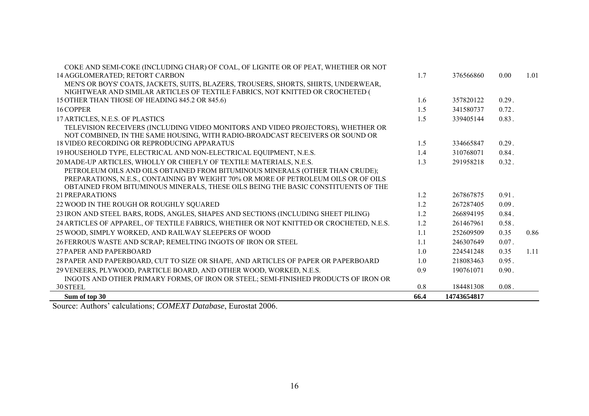| Sum of top 30                                                                                                                | 66.4 | 14743654817 |          |      |
|------------------------------------------------------------------------------------------------------------------------------|------|-------------|----------|------|
| 30 STEEL                                                                                                                     | 0.8  | 184481308   | $0.08$ . |      |
| INGOTS AND OTHER PRIMARY FORMS, OF IRON OR STEEL; SEMI-FINISHED PRODUCTS OF IRON OR                                          |      |             |          |      |
| 29 VENEERS, PLYWOOD, PARTICLE BOARD, AND OTHER WOOD, WORKED, N.E.S.                                                          | 0.9  | 190761071   | 0.90.    |      |
| 28 PAPER AND PAPERBOARD, CUT TO SIZE OR SHAPE, AND ARTICLES OF PAPER OR PAPERBOARD                                           | 1.0  | 218083463   | 0.95.    |      |
| 27 PAPER AND PAPERBOARD                                                                                                      | 1.0  | 224541248   | 0.35     | 1.11 |
| 26 FERROUS WASTE AND SCRAP; REMELTING INGOTS OF IRON OR STEEL                                                                | 1.1  | 246307649   | $0.07$ . |      |
| 25 WOOD, SIMPLY WORKED, AND RAILWAY SLEEPERS OF WOOD                                                                         | 1.1  | 252609509   | 0.35     | 0.86 |
| 24 ARTICLES OF APPAREL, OF TEXTILE FABRICS, WHETHER OR NOT KNITTED OR CROCHETED, N.E.S.                                      | 1.2  | 261467961   | 0.58.    |      |
| 23 IRON AND STEEL BARS, RODS, ANGLES, SHAPES AND SECTIONS (INCLUDING SHEET PILING)                                           | 1.2  | 266894195   | 0.84.    |      |
| 22 WOOD IN THE ROUGH OR ROUGHLY SQUARED                                                                                      | 1.2  | 267287405   | 0.09.    |      |
| 21 PREPARATIONS                                                                                                              | 1.2  | 267867875   | $0.91$ . |      |
| OBTAINED FROM BITUMINOUS MINERALS, THESE OILS BEING THE BASIC CONSTITUENTS OF THE                                            |      |             |          |      |
| PREPARATIONS, N.E.S., CONTAINING BY WEIGHT 70% OR MORE OF PETROLEUM OILS OR OF OILS                                          |      |             |          |      |
| PETROLEUM OILS AND OILS OBTAINED FROM BITUMINOUS MINERALS (OTHER THAN CRUDE);                                                |      |             |          |      |
| 20 MADE-UP ARTICLES, WHOLLY OR CHIEFLY OF TEXTILE MATERIALS, N.E.S.                                                          | 1.3  | 291958218   | $0.32$ . |      |
| 19 HOUSEHOLD TYPE, ELECTRICAL AND NON-ELECTRICAL EQUIPMENT, N.E.S.                                                           | 1.4  | 310768071   | 0.84.    |      |
| NOT COMBINED, IN THE SAME HOUSING, WITH RADIO-BROADCAST RECEIVERS OR SOUND OR<br>18 VIDEO RECORDING OR REPRODUCING APPARATUS | 1.5  | 334665847   | 0.29.    |      |
| TELEVISION RECEIVERS (INCLUDING VIDEO MONITORS AND VIDEO PROJECTORS), WHETHER OR                                             |      |             |          |      |
| 17 ARTICLES, N.E.S. OF PLASTICS                                                                                              | 1.5  | 339405144   | $0.83$ . |      |
| 16 COPPER                                                                                                                    | 1.5  | 341580737   | $0.72$ . |      |
| 15 OTHER THAN THOSE OF HEADING 845.2 OR 845.6)                                                                               | 1.6  | 357820122   | 0.29.    |      |
| NIGHTWEAR AND SIMILAR ARTICLES OF TEXTILE FABRICS, NOT KNITTED OR CROCHETED (                                                |      |             |          |      |
| MEN'S OR BOYS' COATS, JACKETS, SUITS, BLAZERS, TROUSERS, SHORTS, SHIRTS, UNDERWEAR,                                          |      |             |          |      |
| 14 AGGLOMERATED; RETORT CARBON                                                                                               | 1.7  | 376566860   | 0.00     | 1.01 |
| COKE AND SEMI-COKE (INCLUDING CHAR) OF COAL, OF LIGNITE OR OF PEAT, WHETHER OR NOT                                           |      |             |          |      |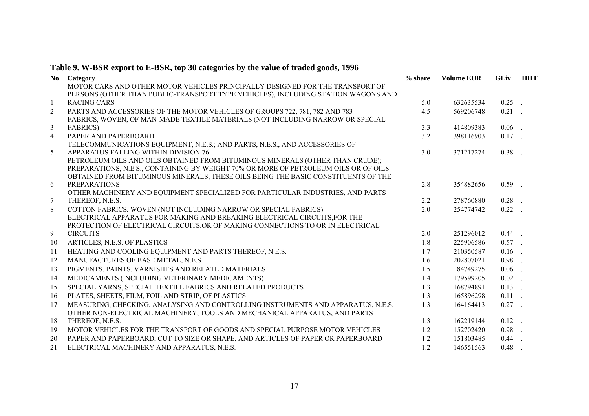| Table 9. W-BSR export to E-BSR, top 30 categories by the value of traded goods, 1996 |  |  |  |  |  |
|--------------------------------------------------------------------------------------|--|--|--|--|--|
|                                                                                      |  |  |  |  |  |

| N <sub>0</sub>  | Category                                                                                              | % share | <b>Volume EUR</b> | <b>GLiv</b> | <b>HIIT</b> |
|-----------------|-------------------------------------------------------------------------------------------------------|---------|-------------------|-------------|-------------|
|                 | MOTOR CARS AND OTHER MOTOR VEHICLES PRINCIPALLY DESIGNED FOR THE TRANSPORT OF                         |         |                   |             |             |
|                 | PERSONS (OTHER THAN PUBLIC-TRANSPORT TYPE VEHICLES), INCLUDING STATION WAGONS AND                     |         |                   |             |             |
| $\mathbf{1}$    | <b>RACING CARS</b>                                                                                    | 5.0     | 632635534         | $0.25$ .    |             |
| $\overline{2}$  | PARTS AND ACCESSORIES OF THE MOTOR VEHICLES OF GROUPS 722, 781, 782 AND 783                           | 4.5     | 569206748         | $0.21$ .    |             |
|                 | FABRICS, WOVEN, OF MAN-MADE TEXTILE MATERIALS (NOT INCLUDING NARROW OR SPECIAL                        |         |                   |             |             |
| $\mathfrak{Z}$  | <b>FABRICS</b> )                                                                                      | 3.3     | 414809383         | $0.06$ .    |             |
| $\overline{4}$  | PAPER AND PAPERBOARD                                                                                  | 3.2     | 398116903         | $0.17$ .    |             |
|                 | TELECOMMUNICATIONS EQUIPMENT, N.E.S.; AND PARTS, N.E.S., AND ACCESSORIES OF                           |         |                   |             |             |
| 5               | APPARATUS FALLING WITHIN DIVISION 76                                                                  | 3.0     | 371217274         | $0.38$ .    |             |
|                 | PETROLEUM OILS AND OILS OBTAINED FROM BITUMINOUS MINERALS (OTHER THAN CRUDE);                         |         |                   |             |             |
|                 | PREPARATIONS, N.E.S., CONTAINING BY WEIGHT 70% OR MORE OF PETROLEUM OILS OR OF OILS                   |         |                   |             |             |
|                 | OBTAINED FROM BITUMINOUS MINERALS, THESE OILS BEING THE BASIC CONSTITUENTS OF THE                     |         |                   |             |             |
| 6               | <b>PREPARATIONS</b><br>OTHER MACHINERY AND EQUIPMENT SPECIALIZED FOR PARTICULAR INDUSTRIES, AND PARTS | 2.8     | 354882656         | $0.59$ .    |             |
| $7\phantom{.0}$ | THEREOF, N.E.S.                                                                                       | 2.2     | 278760880         | $0.28$ .    |             |
| 8               | COTTON FABRICS, WOVEN (NOT INCLUDING NARROW OR SPECIAL FABRICS)                                       | 2.0     | 254774742         | $0.22$ .    |             |
|                 | ELECTRICAL APPARATUS FOR MAKING AND BREAKING ELECTRICAL CIRCUITS.FOR THE                              |         |                   |             |             |
|                 | PROTECTION OF ELECTRICAL CIRCUITS, OR OF MAKING CONNECTIONS TO OR IN ELECTRICAL                       |         |                   |             |             |
| 9               | <b>CIRCUITS</b>                                                                                       | 2.0     | 251296012         | $0.44$ .    |             |
| 10              | ARTICLES, N.E.S. OF PLASTICS                                                                          | 1.8     | 225906586         | $0.57$ .    |             |
| 11              | HEATING AND COOLING EQUIPMENT AND PARTS THEREOF, N.E.S.                                               | 1.7     | 210350587         | $0.16$ .    |             |
| 12              | MANUFACTURES OF BASE METAL, N.E.S.                                                                    | 1.6     | 202807021         | $0.98$ .    |             |
| 13              | PIGMENTS, PAINTS, VARNISHES AND RELATED MATERIALS                                                     | 1.5     | 184749275         | $0.06$ .    |             |
| 14              | MEDICAMENTS (INCLUDING VETERINARY MEDICAMENTS)                                                        | 1.4     | 179599205         | $0.02$ .    |             |
| 15              | SPECIAL YARNS, SPECIAL TEXTILE FABRICS AND RELATED PRODUCTS                                           | 1.3     | 168794891         | $0.13$ .    |             |
| 16              | PLATES, SHEETS, FILM, FOIL AND STRIP, OF PLASTICS                                                     | 1.3     | 165896298         | $0.11$ .    |             |
| 17              | MEASURING, CHECKING, ANALYSING AND CONTROLLING INSTRUMENTS AND APPARATUS, N.E.S.                      | 1.3     | 164164413         | $0.27$ .    |             |
|                 | OTHER NON-ELECTRICAL MACHINERY, TOOLS AND MECHANICAL APPARATUS, AND PARTS                             |         |                   |             |             |
| 18              | THEREOF, N.E.S.                                                                                       | 1.3     | 162219144         | $0.12$ .    |             |
| 19              | MOTOR VEHICLES FOR THE TRANSPORT OF GOODS AND SPECIAL PURPOSE MOTOR VEHICLES                          | 1.2     | 152702420         | $0.98$ .    |             |
| 20              | PAPER AND PAPERBOARD, CUT TO SIZE OR SHAPE, AND ARTICLES OF PAPER OR PAPERBOARD                       | 1.2     | 151803485         | $0.44$ .    |             |
| 21              | ELECTRICAL MACHINERY AND APPARATUS, N.E.S.                                                            | 1.2     | 146551563         | 0.48        |             |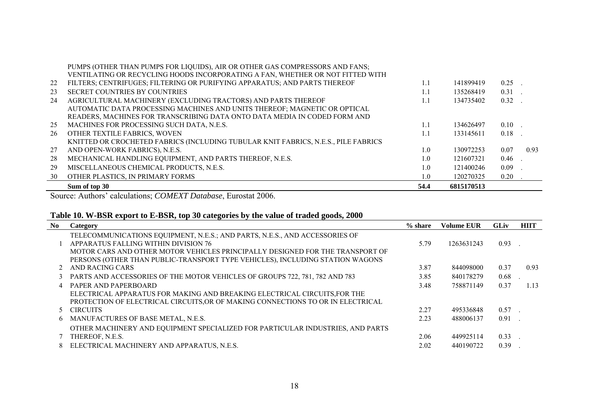|    | Sum of top 30                                                                      | 54.4 | 6815170513 |          |      |
|----|------------------------------------------------------------------------------------|------|------------|----------|------|
| 30 | OTHER PLASTICS, IN PRIMARY FORMS                                                   | 1.0  | 120270325  | 0.20     |      |
| 29 | MISCELLANEOUS CHEMICAL PRODUCTS, N.E.S.                                            | 1.0  | 121400246  | 0.09     |      |
| 28 | MECHANICAL HANDLING EQUIPMENT, AND PARTS THEREOF, N.E.S.                           | 1.0  | 121607321  | 0.46     |      |
| 27 | AND OPEN-WORK FABRICS), N.E.S.                                                     | 1.0  | 130972253  | 0.07     | 0.93 |
|    | KNITTED OR CROCHETED FABRICS (INCLUDING TUBULAR KNIT FABRICS, N.E.S., PILE FABRICS |      |            |          |      |
| 26 | OTHER TEXTILE FABRICS, WOVEN                                                       | 1.1  | 133145611  | $0.18$ . |      |
| 25 | MACHINES FOR PROCESSING SUCH DATA, N.E.S.                                          | 1.1  | 134626497  | 0.10     |      |
|    | READERS, MACHINES FOR TRANSCRIBING DATA ONTO DATA MEDIA IN CODED FORM AND          |      |            |          |      |
|    | AUTOMATIC DATA PROCESSING MACHINES AND UNITS THEREOF; MAGNETIC OR OPTICAL          |      |            |          |      |
| 24 | AGRICULTURAL MACHINERY (EXCLUDING TRACTORS) AND PARTS THEREOF                      | 1.1  | 134735402  | $0.32$ . |      |
| 23 | <b>SECRET COUNTRIES BY COUNTRIES</b>                                               | 1.1  | 135268419  | $0.31$ . |      |
| 22 | FILTERS; CENTRIFUGES; FILTERING OR PURIFYING APPARATUS; AND PARTS THEREOF          | 1.1  | 141899419  | 0.25     |      |
|    | VENTILATING OR RECYCLING HOODS INCORPORATING A FAN, WHETHER OR NOT FITTED WITH     |      |            |          |      |
|    | PUMPS (OTHER THAN PUMPS FOR LIQUIDS), AIR OR OTHER GAS COMPRESSORS AND FANS;       |      |            |          |      |

|     | Table 10. W-BSR export to E-BSR, top 30 categories by the value of traded goods, 2000                                                                                                                |            |                   |             |             |  |  |  |  |  |
|-----|------------------------------------------------------------------------------------------------------------------------------------------------------------------------------------------------------|------------|-------------------|-------------|-------------|--|--|--|--|--|
| No. | Category                                                                                                                                                                                             | $\%$ share | <b>Volume EUR</b> | <b>GLiv</b> | <b>HIIT</b> |  |  |  |  |  |
|     | TELECOMMUNICATIONS EQUIPMENT, N.E.S.; AND PARTS, N.E.S., AND ACCESSORIES OF<br>APPARATUS FALLING WITHIN DIVISION 76<br>MOTOR CARS AND OTHER MOTOR VEHICLES PRINCIPALLY DESIGNED FOR THE TRANSPORT OF | 5.79       | 1263631243        | 0.93        |             |  |  |  |  |  |
|     | PERSONS (OTHER THAN PUBLIC-TRANSPORT TYPE VEHICLES), INCLUDING STATION WAGONS<br>AND RACING CARS                                                                                                     | 3.87       | 844098000         | 0.37        | 0.93        |  |  |  |  |  |
| 3   | PARTS AND ACCESSORIES OF THE MOTOR VEHICLES OF GROUPS 722, 781, 782 AND 783                                                                                                                          | 3.85       | 840178279         | 0.68        |             |  |  |  |  |  |
| 4   | PAPER AND PAPERBOARD<br>ELECTRICAL APPARATUS FOR MAKING AND BREAKING ELECTRICAL CIRCUITS, FOR THE<br>PROTECTION OF ELECTRICAL CIRCUITS, OR OF MAKING CONNECTIONS TO OR IN ELECTRICAL                 | 3.48       | 758871149         | 0.37        | 1.13        |  |  |  |  |  |
|     | <b>CIRCUITS</b>                                                                                                                                                                                      | 2.27       | 495336848         | 0.57        |             |  |  |  |  |  |
| 6.  | MANUFACTURES OF BASE METAL, N.E.S.                                                                                                                                                                   | 2.23       | 488006137         | 0.91        |             |  |  |  |  |  |
|     | OTHER MACHINERY AND EQUIPMENT SPECIALIZED FOR PARTICULAR INDUSTRIES, AND PARTS<br>THEREOF, N.E.S.                                                                                                    | 2.06       | 449925114         | 0.33        |             |  |  |  |  |  |
| 8   | ELECTRICAL MACHINERY AND APPARATUS, N.E.S.                                                                                                                                                           | 2.02       | 440190722         | 0.39        |             |  |  |  |  |  |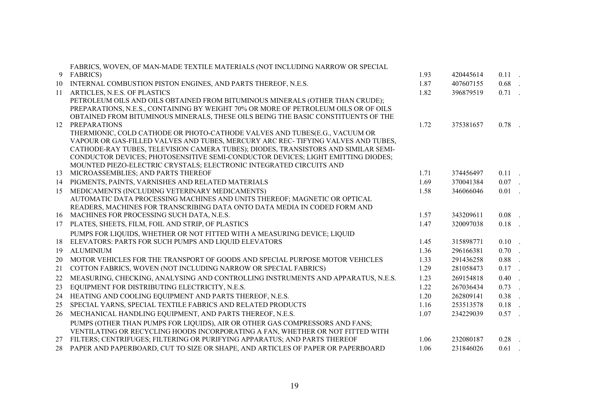|    | FABRICS, WOVEN, OF MAN-MADE TEXTILE MATERIALS (NOT INCLUDING NARROW OR SPECIAL                                                                                       |      |           |          |        |
|----|----------------------------------------------------------------------------------------------------------------------------------------------------------------------|------|-----------|----------|--------|
| 9  | <b>FABRICS</b> )                                                                                                                                                     | 1.93 | 420445614 | $0.11$ . |        |
| 10 | INTERNAL COMBUSTION PISTON ENGINES, AND PARTS THEREOF, N.E.S.                                                                                                        | 1.87 | 407607155 | $0.68$ . |        |
| 11 | ARTICLES, N.E.S. OF PLASTICS                                                                                                                                         | 1.82 | 396879519 | $0.71$ . |        |
|    | PETROLEUM OILS AND OILS OBTAINED FROM BITUMINOUS MINERALS (OTHER THAN CRUDE);<br>PREPARATIONS, N.E.S., CONTAINING BY WEIGHT 70% OR MORE OF PETROLEUM OILS OR OF OILS |      |           |          |        |
|    | OBTAINED FROM BITUMINOUS MINERALS, THESE OILS BEING THE BASIC CONSTITUENTS OF THE                                                                                    |      |           |          |        |
| 12 | <b>PREPARATIONS</b>                                                                                                                                                  | 1.72 | 375381657 | $0.78$ . |        |
|    | THERMIONIC, COLD CATHODE OR PHOTO-CATHODE VALVES AND TUBES(E.G., VACUUM OR                                                                                           |      |           |          |        |
|    | VAPOUR OR GAS-FILLED VALVES AND TUBES, MERCURY ARC REC-TIFYING VALVES AND TUBES,                                                                                     |      |           |          |        |
|    | CATHODE-RAY TUBES, TELEVISION CAMERA TUBES); DIODES, TRANSISTORS AND SIMILAR SEMI-                                                                                   |      |           |          |        |
|    | CONDUCTOR DEVICES; PHOTOSENSITIVE SEMI-CONDUCTOR DEVICES; LIGHT EMITTING DIODES;                                                                                     |      |           |          |        |
|    | MOUNTED PIEZO-ELECTRIC CRYSTALS; ELECTRONIC INTEGRATED CIRCUITS AND                                                                                                  |      |           |          |        |
| 13 | MICROASSEMBLIES; AND PARTS THEREOF                                                                                                                                   | 1.71 | 374456497 | $0.11$ . |        |
| 14 | PIGMENTS, PAINTS, VARNISHES AND RELATED MATERIALS                                                                                                                    | 1.69 | 370041384 | $0.07$ . |        |
| 15 | MEDICAMENTS (INCLUDING VETERINARY MEDICAMENTS)                                                                                                                       | 1.58 | 346066046 | $0.01$ . |        |
|    | AUTOMATIC DATA PROCESSING MACHINES AND UNITS THEREOF; MAGNETIC OR OPTICAL                                                                                            |      |           |          |        |
|    | READERS, MACHINES FOR TRANSCRIBING DATA ONTO DATA MEDIA IN CODED FORM AND                                                                                            |      |           | $0.08$ . |        |
| 16 | MACHINES FOR PROCESSING SUCH DATA, N.E.S.                                                                                                                            | 1.57 | 343209611 |          |        |
| 17 | PLATES, SHEETS, FILM, FOIL AND STRIP, OF PLASTICS                                                                                                                    | 1.47 | 320097038 | 0.18     |        |
|    | PUMPS FOR LIQUIDS, WHETHER OR NOT FITTED WITH A MEASURING DEVICE; LIQUID                                                                                             |      |           |          |        |
| 18 | ELEVATORS: PARTS FOR SUCH PUMPS AND LIQUID ELEVATORS                                                                                                                 | 1.45 | 315898771 | 0.10     |        |
| 19 | <b>ALUMINIUM</b>                                                                                                                                                     | 1.36 | 296166381 | 0.70     | in Li  |
| 20 | MOTOR VEHICLES FOR THE TRANSPORT OF GOODS AND SPECIAL PURPOSE MOTOR VEHICLES                                                                                         | 1.33 | 291436258 | 0.88     | $\sim$ |
| 21 | COTTON FABRICS, WOVEN (NOT INCLUDING NARROW OR SPECIAL FABRICS)                                                                                                      | 1.29 | 281058473 | 0.17     |        |
| 22 | MEASURING, CHECKING, ANALYSING AND CONTROLLING INSTRUMENTS AND APPARATUS, N.E.S.                                                                                     | 1.23 | 269154818 | 0.40     |        |
| 23 | EQUIPMENT FOR DISTRIBUTING ELECTRICITY, N.E.S.                                                                                                                       | 1.22 | 267036434 | 0.73     | $\sim$ |
| 24 | HEATING AND COOLING EQUIPMENT AND PARTS THEREOF, N.E.S.                                                                                                              | 1.20 | 262809141 | 0.38     | in Li  |
| 25 | SPECIAL YARNS, SPECIAL TEXTILE FABRICS AND RELATED PRODUCTS                                                                                                          | 1.16 | 253513578 | $0.18$ . |        |
| 26 | MECHANICAL HANDLING EQUIPMENT, AND PARTS THEREOF, N.E.S.                                                                                                             | 1.07 | 234229039 | $0.57$ . |        |
|    | PUMPS (OTHER THAN PUMPS FOR LIQUIDS), AIR OR OTHER GAS COMPRESSORS AND FANS;                                                                                         |      |           |          |        |
|    | VENTILATING OR RECYCLING HOODS INCORPORATING A FAN, WHETHER OR NOT FITTED WITH                                                                                       |      |           |          |        |
| 27 | FILTERS; CENTRIFUGES; FILTERING OR PURIFYING APPARATUS; AND PARTS THEREOF                                                                                            | 1.06 | 232080187 | $0.28$ . |        |
|    | 28 PAPER AND PAPERBOARD, CUT TO SIZE OR SHAPE, AND ARTICLES OF PAPER OR PAPERBOARD                                                                                   | 1.06 | 231846026 | $0.61$ . |        |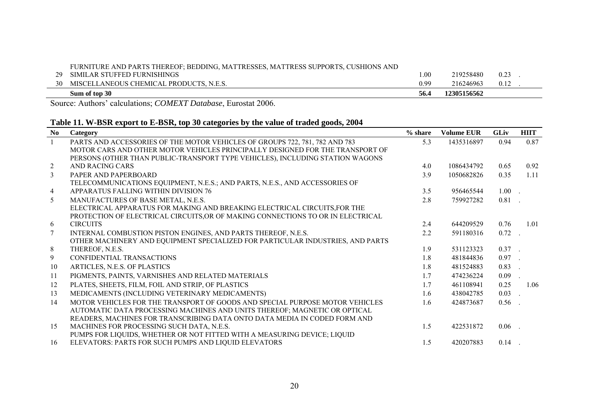|    | Sum of top 30                                                                     | 56.4            | 12305156562 |      |  |
|----|-----------------------------------------------------------------------------------|-----------------|-------------|------|--|
| 30 | MISCELLANEOUS CHEMICAL PRODUCTS, N.E.S.                                           | 0.99            | 216246963   | 0.12 |  |
|    | 29 SIMILAR STUFFED FURNISHINGS                                                    | 00 <sup>1</sup> | 219258480   | 0.23 |  |
|    | FURNITURE AND PARTS THEREOF; BEDDING, MATTRESSES, MATTRESS SUPPORTS, CUSHIONS AND |                 |             |      |  |

# **Table 11. W-BSR export to E-BSR, top 30 categories by the value of traded goods, 2004**

| No              | Category                                                                        | $%$ share | <b>Volume EUR</b> | <b>GLiv</b> | <b>HIIT</b> |
|-----------------|---------------------------------------------------------------------------------|-----------|-------------------|-------------|-------------|
| $\mathbf{1}$    | PARTS AND ACCESSORIES OF THE MOTOR VEHICLES OF GROUPS 722, 781, 782 AND 783     | 5.3       | 1435316897        | 0.94        | 0.87        |
|                 | MOTOR CARS AND OTHER MOTOR VEHICLES PRINCIPALLY DESIGNED FOR THE TRANSPORT OF   |           |                   |             |             |
|                 | PERSONS (OTHER THAN PUBLIC-TRANSPORT TYPE VEHICLES), INCLUDING STATION WAGONS   |           |                   |             |             |
| $\overline{2}$  | <b>AND RACING CARS</b>                                                          | 4.0       | 1086434792        | 0.65        | 0.92        |
| $\mathfrak{Z}$  | PAPER AND PAPERBOARD                                                            | 3.9       | 1050682826        | 0.35        | 1.11        |
|                 | TELECOMMUNICATIONS EQUIPMENT, N.E.S.; AND PARTS, N.E.S., AND ACCESSORIES OF     |           |                   |             |             |
| $\overline{4}$  | APPARATUS FALLING WITHIN DIVISION 76                                            | 3.5       | 956465544         | $1.00$ .    |             |
| 5 <sup>5</sup>  | MANUFACTURES OF BASE METAL, N.E.S.                                              | 2.8       | 759927282         | $0.81$ .    |             |
|                 | ELECTRICAL APPARATUS FOR MAKING AND BREAKING ELECTRICAL CIRCUITS, FOR THE       |           |                   |             |             |
|                 | PROTECTION OF ELECTRICAL CIRCUITS, OR OF MAKING CONNECTIONS TO OR IN ELECTRICAL |           |                   |             |             |
| 6               | <b>CIRCUITS</b>                                                                 | 2.4       | 644209529         | 0.76        | 1.01        |
| $7\phantom{.0}$ | INTERNAL COMBUSTION PISTON ENGINES, AND PARTS THEREOF, N.E.S.                   | 2.2       | 591180316         | 0.72        | $\sim$      |
|                 | OTHER MACHINERY AND EQUIPMENT SPECIALIZED FOR PARTICULAR INDUSTRIES, AND PARTS  |           |                   |             |             |
| 8               | THEREOF, N.E.S.                                                                 | 1.9       | 531123323         | $0.37$ .    |             |
| 9               | CONFIDENTIAL TRANSACTIONS                                                       | 1.8       | 481844836         | $0.97$ .    |             |
| 10              | ARTICLES, N.E.S. OF PLASTICS                                                    | 1.8       | 481524883         | $0.83$ .    |             |
| 11              | PIGMENTS, PAINTS, VARNISHES AND RELATED MATERIALS                               | 1.7       | 474236224         | 0.09        |             |
| 12              | PLATES, SHEETS, FILM, FOIL AND STRIP, OF PLASTICS                               | 1.7       | 461108941         | 0.25        | 1.06        |
| 13              | MEDICAMENTS (INCLUDING VETERINARY MEDICAMENTS)                                  | 1.6       | 438042785         | 0.03        | $\sim$ 100  |
| 14              | MOTOR VEHICLES FOR THE TRANSPORT OF GOODS AND SPECIAL PURPOSE MOTOR VEHICLES    | 1.6       | 424873687         | 0.56        |             |
|                 | AUTOMATIC DATA PROCESSING MACHINES AND UNITS THEREOF; MAGNETIC OR OPTICAL       |           |                   |             |             |
|                 | READERS, MACHINES FOR TRANSCRIBING DATA ONTO DATA MEDIA IN CODED FORM AND       |           |                   |             |             |
| 15              | MACHINES FOR PROCESSING SUCH DATA, N.E.S.                                       | 1.5       | 422531872         | 0.06        |             |
|                 | PUMPS FOR LIQUIDS, WHETHER OR NOT FITTED WITH A MEASURING DEVICE; LIQUID        |           |                   |             |             |
| 16              | ELEVATORS: PARTS FOR SUCH PUMPS AND LIQUID ELEVATORS                            | 1.5       | 420207883         | 0.14        |             |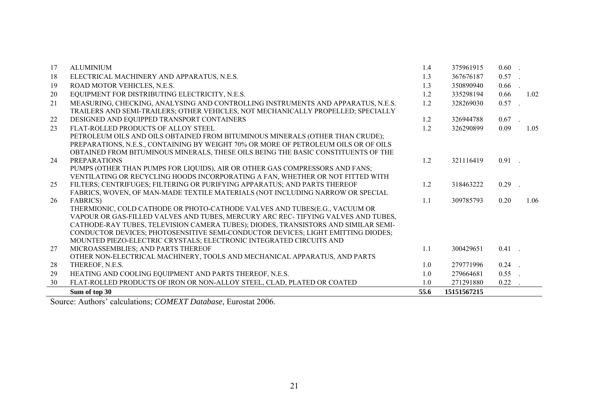| 17 | <b>ALUMINIUM</b>                                                                    | 1.4  | 375961915   | $0.60$ . |      |
|----|-------------------------------------------------------------------------------------|------|-------------|----------|------|
| 18 | ELECTRICAL MACHINERY AND APPARATUS, N.E.S.                                          | 1.3  | 367676187   | $0.57$ . |      |
| 19 | ROAD MOTOR VEHICLES, N.E.S.                                                         | 1.3  | 350890940   | 0.66     |      |
| 20 | EQUIPMENT FOR DISTRIBUTING ELECTRICITY, N.E.S.                                      | 1.2  | 335298194   | 0.66     | 1.02 |
| 21 | MEASURING, CHECKING, ANALYSING AND CONTROLLING INSTRUMENTS AND APPARATUS, N.E.S.    | 1.2  | 328269030   | 0.57     |      |
|    | TRAILERS AND SEMI-TRAILERS; OTHER VEHICLES, NOT MECHANICALLY PROPELLED; SPECIALLY   |      |             |          |      |
| 22 | DESIGNED AND EQUIPPED TRANSPORT CONTAINERS                                          | 1.2  | 326944788   | 0.67     |      |
| 23 | FLAT-ROLLED PRODUCTS OF ALLOY STEEL                                                 | 1.2  | 326290899   | 0.09     | 1.05 |
|    | PETROLEUM OILS AND OILS OBTAINED FROM BITUMINOUS MINERALS (OTHER THAN CRUDE);       |      |             |          |      |
|    | PREPARATIONS, N.E.S., CONTAINING BY WEIGHT 70% OR MORE OF PETROLEUM OILS OR OF OILS |      |             |          |      |
|    | OBTAINED FROM BITUMINOUS MINERALS, THESE OILS BEING THE BASIC CONSTITUENTS OF THE   |      |             |          |      |
| 24 | <b>PREPARATIONS</b>                                                                 | 1.2  | 321116419   | $0.91$ . |      |
|    | PUMPS (OTHER THAN PUMPS FOR LIQUIDS), AIR OR OTHER GAS COMPRESSORS AND FANS;        |      |             |          |      |
|    | VENTILATING OR RECYCLING HOODS INCORPORATING A FAN, WHETHER OR NOT FITTED WITH      |      |             |          |      |
| 25 | FILTERS; CENTRIFUGES; FILTERING OR PURIFYING APPARATUS; AND PARTS THEREOF           | 1.2  | 318463222   | 0.29     |      |
|    | FABRICS, WOVEN, OF MAN-MADE TEXTILE MATERIALS (NOT INCLUDING NARROW OR SPECIAL      |      |             |          |      |
| 26 | <b>FABRICS</b> )                                                                    | 1.1  | 309785793   | 0.20     | 1.06 |
|    | THERMIONIC, COLD CATHODE OR PHOTO-CATHODE VALVES AND TUBES(E.G., VACUUM OR          |      |             |          |      |
|    | VAPOUR OR GAS-FILLED VALVES AND TUBES, MERCURY ARC REC- TIFYING VALVES AND TUBES,   |      |             |          |      |
|    | CATHODE-RAY TUBES, TELEVISION CAMERA TUBES); DIODES, TRANSISTORS AND SIMILAR SEMI-  |      |             |          |      |
|    | CONDUCTOR DEVICES; PHOTOSENSITIVE SEMI-CONDUCTOR DEVICES; LIGHT EMITTING DIODES;    |      |             |          |      |
|    | MOUNTED PIEZO-ELECTRIC CRYSTALS; ELECTRONIC INTEGRATED CIRCUITS AND                 |      |             |          |      |
| 27 | MICROASSEMBLIES; AND PARTS THEREOF                                                  | 1.1  | 300429651   | $0.41$ . |      |
|    | OTHER NON-ELECTRICAL MACHINERY, TOOLS AND MECHANICAL APPARATUS, AND PARTS           |      |             |          |      |
| 28 | THEREOF, N.E.S.                                                                     | 1.0  | 279771996   | $0.24$ . |      |
| 29 | HEATING AND COOLING EQUIPMENT AND PARTS THEREOF, N.E.S.                             | 1.0  | 279664681   | 0.55     |      |
| 30 | FLAT-ROLLED PRODUCTS OF IRON OR NON-ALLOY STEEL, CLAD, PLATED OR COATED             | 1.0  | 271291880   | 0.22     |      |
|    | Sum of top 30                                                                       | 55.6 | 15151567215 |          |      |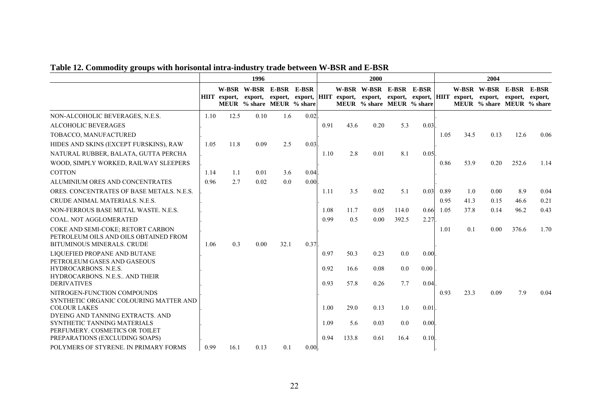<span id="page-21-0"></span>

|                                                                                                   | 1996 |                     |                                                      |      |      | 2000 |       |                                                                                                                                                             |         |       |      | 2004 |                                                      |       |      |
|---------------------------------------------------------------------------------------------------|------|---------------------|------------------------------------------------------|------|------|------|-------|-------------------------------------------------------------------------------------------------------------------------------------------------------------|---------|-------|------|------|------------------------------------------------------|-------|------|
|                                                                                                   |      | <b>HIIT</b> export, | W-BSR W-BSR E-BSR E-BSR<br>MEUR % share MEUR % share |      |      |      |       | W-BSR W-BSR E-BSR<br>export, export, export, HIIT export, export, export, export, HIIT export, export, export, export, export,<br>MEUR % share MEUR % share |         | E-BSR |      |      | W-BSR W-BSR E-BSR E-BSR<br>MEUR % share MEUR % share |       |      |
| NON-ALCOHOLIC BEVERAGES, N.E.S.                                                                   | 1.10 | 12.5                | 0.10                                                 | 1.6  | 0.02 |      |       |                                                                                                                                                             |         |       |      |      |                                                      |       |      |
| <b>ALCOHOLIC BEVERAGES</b>                                                                        |      |                     |                                                      |      |      | 0.91 | 43.6  | 0.20                                                                                                                                                        | 5.3     | 0.03  |      |      |                                                      |       |      |
| TOBACCO, MANUFACTURED                                                                             |      |                     |                                                      |      |      |      |       |                                                                                                                                                             |         |       | 1.05 | 34.5 | 0.13                                                 | 12.6  | 0.06 |
| HIDES AND SKINS (EXCEPT FURSKINS), RAW                                                            | 1.05 | 11.8                | 0.09                                                 | 2.5  | 0.03 |      |       |                                                                                                                                                             |         |       |      |      |                                                      |       |      |
| NATURAL RUBBER, BALATA, GUTTA PERCHA                                                              |      |                     |                                                      |      |      | 1.10 | 2.8   | 0.01                                                                                                                                                        | 8.1     | 0.05  |      |      |                                                      |       |      |
| WOOD, SIMPLY WORKED, RAILWAY SLEEPERS                                                             |      |                     |                                                      |      |      |      |       |                                                                                                                                                             |         |       | 0.86 | 53.9 | 0.20                                                 | 252.6 | 1.14 |
| <b>COTTON</b>                                                                                     | 1.14 | 1.1                 | 0.01                                                 | 3.6  | 0.04 |      |       |                                                                                                                                                             |         |       |      |      |                                                      |       |      |
| ALUMINIUM ORES AND CONCENTRATES                                                                   | 0.96 | 2.7                 | 0.02                                                 | 0.0  | 0.00 |      |       |                                                                                                                                                             |         |       |      |      |                                                      |       |      |
| ORES. CONCENTRATES OF BASE METALS, N.E.S.                                                         |      |                     |                                                      |      |      | 1.11 | 3.5   | 0.02                                                                                                                                                        | 5.1     | 0.03  | 0.89 | 1.0  | 0.00                                                 | 8.9   | 0.04 |
| CRUDE ANIMAL MATERIALS, N.E.S.                                                                    |      |                     |                                                      |      |      |      |       |                                                                                                                                                             |         |       | 0.95 | 41.3 | 0.15                                                 | 46.6  | 0.21 |
| NON-FERROUS BASE METAL WASTE, N.E.S.                                                              |      |                     |                                                      |      |      | 1.08 | 11.7  | 0.05                                                                                                                                                        | 114.0   | 0.66  | 1.05 | 37.8 | 0.14                                                 | 96.2  | 0.43 |
| <b>COAL. NOT AGGLOMERATED</b>                                                                     |      |                     |                                                      |      |      | 0.99 | 0.5   | 0.00                                                                                                                                                        | 392.5   | 2.27  |      |      |                                                      |       |      |
| COKE AND SEMI-COKE; RETORT CARBON<br>PETROLEUM OILS AND OILS OBTAINED FROM                        |      |                     |                                                      |      |      |      |       |                                                                                                                                                             |         |       | 1.01 | 0.1  | 0.00                                                 | 376.6 | 1.70 |
| <b>BITUMINOUS MINERALS. CRUDE</b>                                                                 | 1.06 | 0.3                 | 0.00                                                 | 32.1 | 0.37 |      |       |                                                                                                                                                             |         |       |      |      |                                                      |       |      |
| LIOUEFIED PROPANE AND BUTANE<br>PETROLEUM GASES AND GASEOUS                                       |      |                     |                                                      |      |      | 0.97 | 50.3  | 0.23                                                                                                                                                        | 0.0     | 0.00  |      |      |                                                      |       |      |
| <b>HYDROCARBONS, N.E.S.</b>                                                                       |      |                     |                                                      |      |      | 0.92 | 16.6  | 0.08                                                                                                                                                        | 0.0     | 0.00  |      |      |                                                      |       |      |
| HYDROCARBONS, N.E.S., AND THEIR                                                                   |      |                     |                                                      |      |      |      |       |                                                                                                                                                             |         |       |      |      |                                                      |       |      |
| <b>DERIVATIVES</b>                                                                                |      |                     |                                                      |      |      | 0.93 | 57.8  | 0.26                                                                                                                                                        | 7.7     | 0.04  |      |      |                                                      |       |      |
| NITROGEN-FUNCTION COMPOUNDS<br>SYNTHETIC ORGANIC COLOURING MATTER AND<br><b>COLOUR LAKES</b>      |      |                     |                                                      |      |      | 1.00 | 29.0  | 0.13                                                                                                                                                        | 1.0     | 0.01  | 0.93 | 23.3 | 0.09                                                 | 7.9   | 0.04 |
| DYEING AND TANNING EXTRACTS. AND<br>SYNTHETIC TANNING MATERIALS<br>PERFUMERY. COSMETICS OR TOILET |      |                     |                                                      |      |      | 1.09 | 5.6   | 0.03                                                                                                                                                        | $0.0\,$ | 0.00  |      |      |                                                      |       |      |
| PREPARATIONS (EXCLUDING SOAPS)                                                                    |      |                     |                                                      |      |      | 0.94 | 133.8 | 0.61                                                                                                                                                        | 16.4    | 0.10  |      |      |                                                      |       |      |
| POLYMERS OF STYRENE. IN PRIMARY FORMS                                                             | 0.99 | 16.1                | 0.13                                                 | 0.1  | 0.00 |      |       |                                                                                                                                                             |         |       |      |      |                                                      |       |      |

# **Table 12. Commodity groups with horisontal intra-industry trade between W-BSR and E-BSR**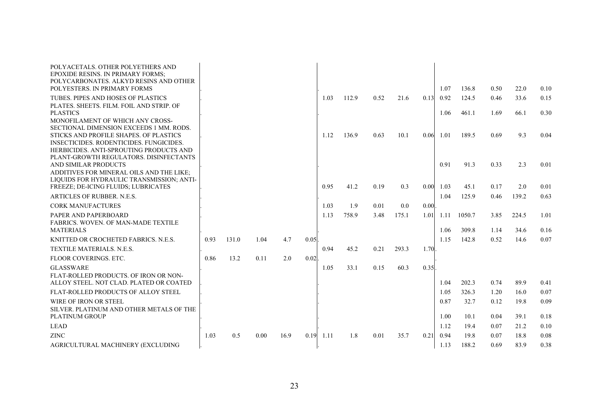| POLYACETALS. OTHER POLYETHERS AND<br>EPOXIDE RESINS. IN PRIMARY FORMS:<br>POLYCARBONATES, ALKYD RESINS AND OTHER<br>POLYESTERS. IN PRIMARY FORMS                                                                         |      |       |      |      |      |      |       |      |       |      | 1.07         | 136.8           | 0.50         | 22.0          | 0.10         |
|--------------------------------------------------------------------------------------------------------------------------------------------------------------------------------------------------------------------------|------|-------|------|------|------|------|-------|------|-------|------|--------------|-----------------|--------------|---------------|--------------|
| TUBES. PIPES AND HOSES OF PLASTICS                                                                                                                                                                                       |      |       |      |      |      | 1.03 | 112.9 | 0.52 | 21.6  | 0.13 | 0.92         | 124.5           | 0.46         | 33.6          | 0.15         |
| PLATES, SHEETS, FILM, FOIL AND STRIP, OF<br><b>PLASTICS</b><br>MONOFILAMENT OF WHICH ANY CROSS-                                                                                                                          |      |       |      |      |      |      |       |      |       |      | 1.06         | 461.1           | 1.69         | 66.1          | 0.30         |
| SECTIONAL DIMENSION EXCEEDS 1 MM. RODS.<br>STICKS AND PROFILE SHAPES. OF PLASTICS<br><b>INSECTICIDES. RODENTICIDES. FUNGICIDES.</b><br>HERBICIDES, ANTI-SPROUTING PRODUCTS AND<br>PLANT-GROWTH REGULATORS. DISINFECTANTS |      |       |      |      |      | 1.12 | 136.9 | 0.63 | 10.1  | 0.06 | 1.01         | 189.5           | 0.69         | 9.3           | 0.04         |
| AND SIMILAR PRODUCTS                                                                                                                                                                                                     |      |       |      |      |      |      |       |      |       |      | 0.91         | 91.3            | 0.33         | 2.3           | 0.01         |
| ADDITIVES FOR MINERAL OILS AND THE LIKE:<br>LIQUIDS FOR HYDRAULIC TRANSMISSION; ANTI-                                                                                                                                    |      |       |      |      |      |      |       |      |       |      |              |                 |              |               |              |
| FREEZE; DE-ICING FLUIDS; LUBRICATES                                                                                                                                                                                      |      |       |      |      |      | 0.95 | 41.2  | 0.19 | 0.3   | 0.00 | 1.03         | 45.1            | 0.17         | 2.0           | 0.01         |
| ARTICLES OF RUBBER, N.E.S.                                                                                                                                                                                               |      |       |      |      |      |      |       |      |       |      | 1.04         | 125.9           | 0.46         | 139.2         | 0.63         |
| <b>CORK MANUFACTURES</b>                                                                                                                                                                                                 |      |       |      |      |      | 1.03 | 1.9   | 0.01 | 0.0   | 0.00 |              |                 |              |               |              |
| PAPER AND PAPERBOARD<br><b>FABRICS. WOVEN. OF MAN-MADE TEXTILE</b><br><b>MATERIALS</b>                                                                                                                                   |      |       |      |      |      | 1.13 | 758.9 | 3.48 | 175.1 | 1.01 | 1.11<br>1.06 | 1050.7<br>309.8 | 3.85<br>1.14 | 224.5<br>34.6 | 1.01<br>0.16 |
| KNITTED OR CROCHETED FABRICS, N.E.S.                                                                                                                                                                                     | 0.93 | 131.0 | 1.04 | 4.7  | 0.05 |      |       |      |       |      | 1.15         | 142.8           | 0.52         | 14.6          | 0.07         |
| TEXTILE MATERIALS. N.E.S.                                                                                                                                                                                                |      |       |      |      |      | 0.94 | 45.2  | 0.21 | 293.3 | 1.70 |              |                 |              |               |              |
| FLOOR COVERINGS, ETC.                                                                                                                                                                                                    | 0.86 | 13.2  | 0.11 | 2.0  | 0.02 |      |       |      |       |      |              |                 |              |               |              |
| <b>GLASSWARE</b>                                                                                                                                                                                                         |      |       |      |      |      | 1.05 | 33.1  | 0.15 | 60.3  | 0.35 |              |                 |              |               |              |
| FLAT-ROLLED PRODUCTS. OF IRON OR NON-<br>ALLOY STEEL. NOT CLAD. PLATED OR COATED                                                                                                                                         |      |       |      |      |      |      |       |      |       |      | 1.04         | 202.3           | 0.74         | 89.9          | 0.41         |
| FLAT-ROLLED PRODUCTS OF ALLOY STEEL                                                                                                                                                                                      |      |       |      |      |      |      |       |      |       |      | 1.05         | 326.3           | 1.20         | 16.0          | 0.07         |
| WIRE OF IRON OR STEEL                                                                                                                                                                                                    |      |       |      |      |      |      |       |      |       |      | 0.87         | 32.7            | 0.12         | 19.8          | 0.09         |
| SILVER. PLATINUM AND OTHER METALS OF THE<br><b>PLATINUM GROUP</b>                                                                                                                                                        |      |       |      |      |      |      |       |      |       |      | 1.00         | 10.1            | 0.04         | 39.1          | 0.18         |
| <b>LEAD</b>                                                                                                                                                                                                              |      |       |      |      |      |      |       |      |       |      | 1.12         | 19.4            | 0.07         | 21.2          | 0.10         |
| <b>ZINC</b>                                                                                                                                                                                                              | 1.03 | 0.5   | 0.00 | 16.9 | 0.19 | 1.11 | 1.8   | 0.01 | 35.7  | 0.21 | 0.94         | 19.8            | 0.07         | 18.8          | 0.08         |
| AGRICULTURAL MACHINERY (EXCLUDING                                                                                                                                                                                        |      |       |      |      |      |      |       |      |       |      | 1.13         | 188.2           | 0.69         | 83.9          | 0.38         |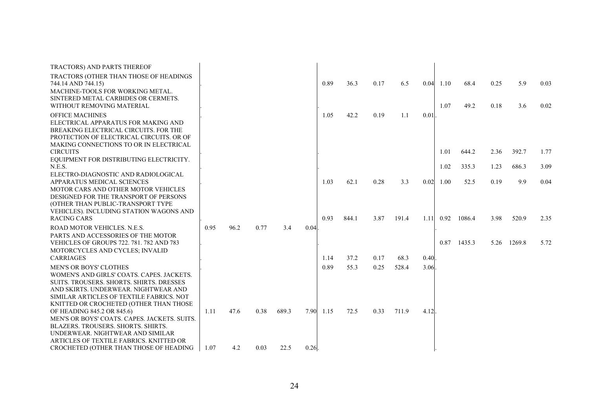| TRACTORS) AND PARTS THEREOF                                                                          |      |      |      |       |      |      |       |      |       |      |                   |        |      |        |      |
|------------------------------------------------------------------------------------------------------|------|------|------|-------|------|------|-------|------|-------|------|-------------------|--------|------|--------|------|
| TRACTORS (OTHER THAN THOSE OF HEADINGS<br>744.14 AND 744.15)                                         |      |      |      |       |      | 0.89 | 36.3  | 0.17 | 6.5   |      | $0.04$ 1.10       | 68.4   | 0.25 | 5.9    | 0.03 |
| MACHINE-TOOLS FOR WORKING METAL.<br>SINTERED METAL CARBIDES OR CERMETS.<br>WITHOUT REMOVING MATERIAL |      |      |      |       |      |      |       |      |       |      | 1.07              | 49.2   | 0.18 | 3.6    | 0.02 |
| <b>OFFICE MACHINES</b>                                                                               |      |      |      |       |      | 1.05 | 42.2  | 0.19 | 1.1   | 0.01 |                   |        |      |        |      |
| ELECTRICAL APPARATUS FOR MAKING AND                                                                  |      |      |      |       |      |      |       |      |       |      |                   |        |      |        |      |
| BREAKING ELECTRICAL CIRCUITS. FOR THE<br>PROTECTION OF ELECTRICAL CIRCUITS. OR OF                    |      |      |      |       |      |      |       |      |       |      |                   |        |      |        |      |
| MAKING CONNECTIONS TO OR IN ELECTRICAL                                                               |      |      |      |       |      |      |       |      |       |      |                   |        |      |        |      |
| <b>CIRCUITS</b>                                                                                      |      |      |      |       |      |      |       |      |       |      | 1.01              | 644.2  | 2.36 | 392.7  | 1.77 |
| EQUIPMENT FOR DISTRIBUTING ELECTRICITY.<br>N.E.S.                                                    |      |      |      |       |      |      |       |      |       |      | 1.02              | 335.3  | 1.23 | 686.3  | 3.09 |
| ELECTRO-DIAGNOSTIC AND RADIOLOGICAL                                                                  |      |      |      |       |      |      |       |      |       |      |                   |        |      |        |      |
| <b>APPARATUS MEDICAL SCIENCES</b>                                                                    |      |      |      |       |      | 1.03 | 62.1  | 0.28 | 3.3   |      | $0.02 \quad 1.00$ | 52.5   | 0.19 | 9.9    | 0.04 |
| MOTOR CARS AND OTHER MOTOR VEHICLES                                                                  |      |      |      |       |      |      |       |      |       |      |                   |        |      |        |      |
| DESIGNED FOR THE TRANSPORT OF PERSONS<br>(OTHER THAN PUBLIC-TRANSPORT TYPE                           |      |      |      |       |      |      |       |      |       |      |                   |        |      |        |      |
| VEHICLES). INCLUDING STATION WAGONS AND                                                              |      |      |      |       |      |      |       |      |       |      |                   |        |      |        |      |
| <b>RACING CARS</b>                                                                                   |      |      |      |       |      | 0.93 | 844.1 | 3.87 | 191.4 | 1.11 | 0.92              | 1086.4 | 3.98 | 520.9  | 2.35 |
| ROAD MOTOR VEHICLES, N.E.S.                                                                          | 0.95 | 96.2 | 0.77 | 3.4   | 0.04 |      |       |      |       |      |                   |        |      |        |      |
| PARTS AND ACCESSORIES OF THE MOTOR                                                                   |      |      |      |       |      |      |       |      |       |      |                   |        |      |        |      |
| VEHICLES OF GROUPS 722. 781. 782 AND 783                                                             |      |      |      |       |      |      |       |      |       |      | 0.87              | 1435.3 | 5.26 | 1269.8 | 5.72 |
| MOTORCYCLES AND CYCLES; INVALID<br><b>CARRIAGES</b>                                                  |      |      |      |       |      | 1.14 | 37.2  | 0.17 | 68.3  | 0.40 |                   |        |      |        |      |
| <b>MEN'S OR BOYS' CLOTHES</b>                                                                        |      |      |      |       |      | 0.89 | 55.3  | 0.25 | 528.4 | 3.06 |                   |        |      |        |      |
| WOMEN'S AND GIRLS' COATS. CAPES. JACKETS.                                                            |      |      |      |       |      |      |       |      |       |      |                   |        |      |        |      |
| SUITS. TROUSERS. SHORTS. SHIRTS. DRESSES                                                             |      |      |      |       |      |      |       |      |       |      |                   |        |      |        |      |
| AND SKIRTS, UNDERWEAR, NIGHTWEAR AND                                                                 |      |      |      |       |      |      |       |      |       |      |                   |        |      |        |      |
| SIMILAR ARTICLES OF TEXTILE FABRICS. NOT                                                             |      |      |      |       |      |      |       |      |       |      |                   |        |      |        |      |
| KNITTED OR CROCHETED (OTHER THAN THOSE                                                               |      |      |      |       |      |      |       |      |       |      |                   |        |      |        |      |
| OF HEADING 845.2 OR 845.6)                                                                           | 1.11 | 47.6 | 0.38 | 689.3 | 7.90 | 1.15 | 72.5  | 0.33 | 711.9 | 4.12 |                   |        |      |        |      |
| MEN'S OR BOYS' COATS, CAPES, JACKETS, SUITS,                                                         |      |      |      |       |      |      |       |      |       |      |                   |        |      |        |      |
| BLAZERS. TROUSERS. SHORTS. SHIRTS.                                                                   |      |      |      |       |      |      |       |      |       |      |                   |        |      |        |      |
| UNDERWEAR. NIGHTWEAR AND SIMILAR<br>ARTICLES OF TEXTILE FABRICS. KNITTED OR                          |      |      |      |       |      |      |       |      |       |      |                   |        |      |        |      |
| CROCHETED (OTHER THAN THOSE OF HEADING                                                               | 1.07 | 4.2  | 0.03 | 22.5  | 0.26 |      |       |      |       |      |                   |        |      |        |      |
|                                                                                                      |      |      |      |       |      |      |       |      |       |      |                   |        |      |        |      |